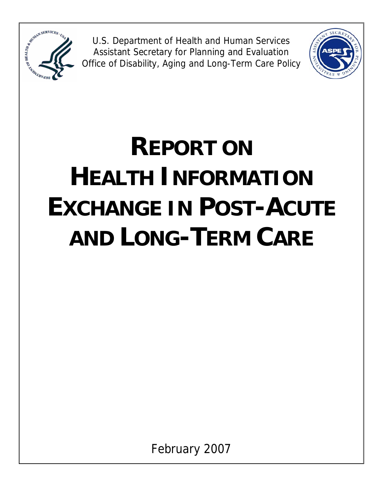

U.S. Department of Health and Human Services Assistant Secretary for Planning and Evaluation Office of Disability, Aging and Long-Term Care Policy



# **REPORT ON HEALTH INFORMATION EXCHANGE IN POST-ACUTE AND LONG-TERM CARE**

February 2007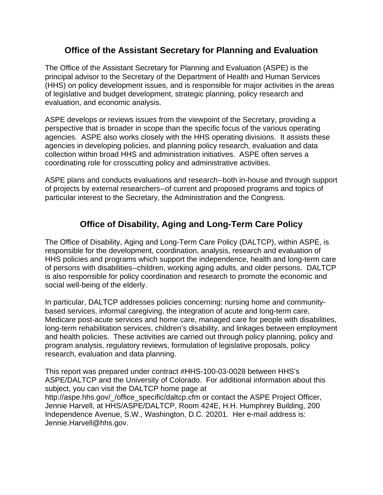# **Office of the Assistant Secretary for Planning and Evaluation**

The Office of the Assistant Secretary for Planning and Evaluation (ASPE) is the principal advisor to the Secretary of the Department of Health and Human Services (HHS) on policy development issues, and is responsible for major activities in the areas of legislative and budget development, strategic planning, policy research and evaluation, and economic analysis.

ASPE develops or reviews issues from the viewpoint of the Secretary, providing a perspective that is broader in scope than the specific focus of the various operating agencies. ASPE also works closely with the HHS operating divisions. It assists these agencies in developing policies, and planning policy research, evaluation and data collection within broad HHS and administration initiatives. ASPE often serves a coordinating role for crosscutting policy and administrative activities.

ASPE plans and conducts evaluations and research--both in-house and through support of projects by external researchers--of current and proposed programs and topics of particular interest to the Secretary, the Administration and the Congress.

# **Office of Disability, Aging and Long-Term Care Policy**

The Office of Disability, Aging and Long-Term Care Policy (DALTCP), within ASPE, is responsible for the development, coordination, analysis, research and evaluation of HHS policies and programs which support the independence, health and long-term care of persons with disabilities--children, working aging adults, and older persons. DALTCP is also responsible for policy coordination and research to promote the economic and social well-being of the elderly.

In particular, DALTCP addresses policies concerning: nursing home and communitybased services, informal caregiving, the integration of acute and long-term care, Medicare post-acute services and home care, managed care for people with disabilities, long-term rehabilitation services, children's disability, and linkages between employment and health policies. These activities are carried out through policy planning, policy and program analysis, regulatory reviews, formulation of legislative proposals, policy research, evaluation and data planning.

This report was prepared under contract #HHS-100-03-0028 between HHS's ASPE/DALTCP and the University of Colorado. For additional information about this subject, you can visit the DALTCP home page at http://aspe.hhs.gov/ /office\_specific/daltcp.cfm or contact the ASPE Project Officer, Jennie Harvell, at HHS/ASPE/DALTCP, Room 424E, H.H. Humphrey Building, 200 Independence Avenue, S.W., Washington, D.C. 20201. Her e-mail address is: Jennie.Harvell@hhs.gov.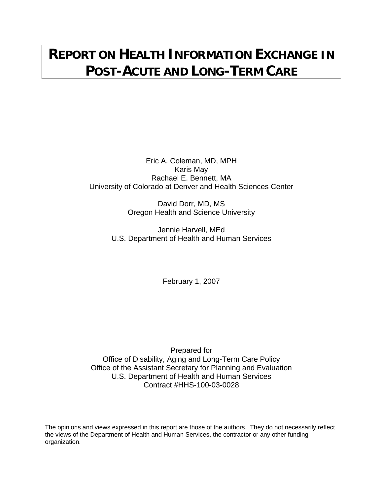# **REPORT ON HEALTH INFORMATION EXCHANGE IN POST-ACUTE AND LONG-TERM CARE**

Eric A. Coleman, MD, MPH Karis May Rachael E. Bennett, MA University of Colorado at Denver and Health Sciences Center

> David Dorr, MD, MS Oregon Health and Science University

Jennie Harvell, MEd U.S. Department of Health and Human Services

February 1, 2007

Prepared for Office of Disability, Aging and Long-Term Care Policy Office of the Assistant Secretary for Planning and Evaluation U.S. Department of Health and Human Services Contract #HHS-100-03-0028

The opinions and views expressed in this report are those of the authors. They do not necessarily reflect the views of the Department of Health and Human Services, the contractor or any other funding organization.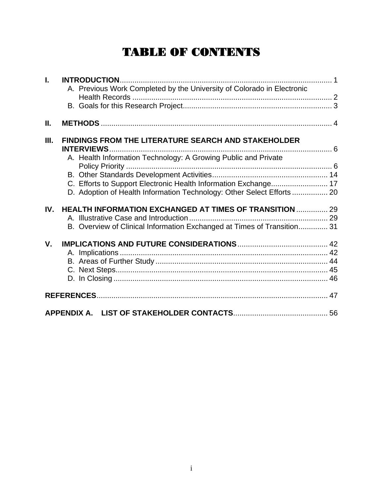# TABLE OF CONTENTS

| Ī.   | A. Previous Work Completed by the University of Colorado in Electronic          |  |
|------|---------------------------------------------------------------------------------|--|
| Ш.   |                                                                                 |  |
| III. | <b>FINDINGS FROM THE LITERATURE SEARCH AND STAKEHOLDER</b><br><b>INTERVIEWS</b> |  |
|      | A. Health Information Technology: A Growing Public and Private                  |  |
|      |                                                                                 |  |
|      |                                                                                 |  |
|      | D. Adoption of Health Information Technology: Other Select Efforts 20           |  |
| IV.  | <b>HEALTH INFORMATION EXCHANGED AT TIMES OF TRANSITION  29</b>                  |  |
|      |                                                                                 |  |
|      | B. Overview of Clinical Information Exchanged at Times of Transition 31         |  |
| V.   |                                                                                 |  |
|      |                                                                                 |  |
|      |                                                                                 |  |
|      |                                                                                 |  |
|      |                                                                                 |  |
|      |                                                                                 |  |
|      |                                                                                 |  |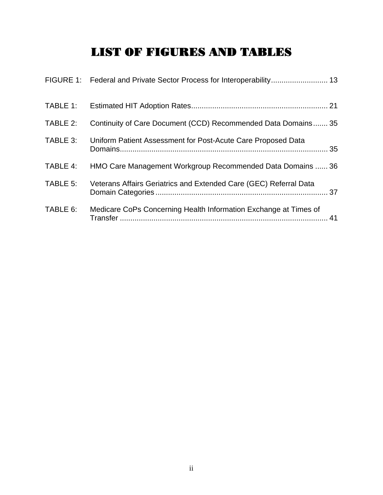# LIST OF FIGURES AND TABLES

| TABLE 2: | Continuity of Care Document (CCD) Recommended Data Domains 35     |
|----------|-------------------------------------------------------------------|
| TABLE 3: | Uniform Patient Assessment for Post-Acute Care Proposed Data      |
| TABLE 4: | HMO Care Management Workgroup Recommended Data Domains  36        |
| TABLE 5: | Veterans Affairs Geriatrics and Extended Care (GEC) Referral Data |
| TABLE 6: | Medicare CoPs Concerning Health Information Exchange at Times of  |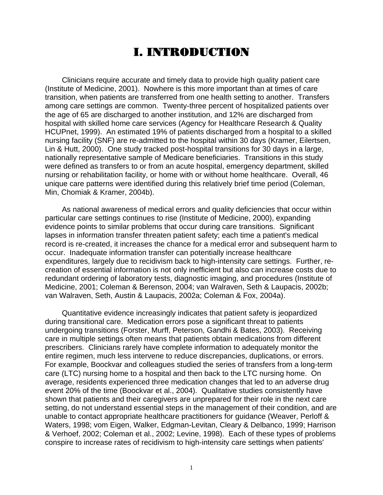# I. INTRODUCTION

Clinicians require accurate and timely data to provide high quality patient care (Institute of Medicine, 2001). Nowhere is this more important than at times of care transition, when patients are transferred from one health setting to another. Transfers among care settings are common. Twenty-three percent of hospitalized patients over the age of 65 are discharged to another institution, and 12% are discharged from hospital with skilled home care services (Agency for Healthcare Research & Quality HCUPnet, 1999). An estimated 19% of patients discharged from a hospital to a skilled nursing facility (SNF) are re-admitted to the hospital within 30 days (Kramer, Eilertsen, Lin & Hutt, 2000). One study tracked post-hospital transitions for 30 days in a large, nationally representative sample of Medicare beneficiaries. Transitions in this study were defined as transfers to or from an acute hospital, emergency department, skilled nursing or rehabilitation facility, or home with or without home healthcare. Overall, 46 unique care patterns were identified during this relatively brief time period (Coleman, Min, Chomiak & Kramer, 2004b).

As national awareness of medical errors and quality deficiencies that occur within particular care settings continues to rise (Institute of Medicine, 2000), expanding evidence points to similar problems that occur during care transitions. Significant lapses in information transfer threaten patient safety; each time a patient's medical record is re-created, it increases the chance for a medical error and subsequent harm to occur. Inadequate information transfer can potentially increase healthcare expenditures, largely due to recidivism back to high-intensity care settings. Further, recreation of essential information is not only inefficient but also can increase costs due to redundant ordering of laboratory tests, diagnostic imaging, and procedures (Institute of Medicine, 2001; Coleman & Berenson, 2004; van Walraven, Seth & Laupacis, 2002b; van Walraven, Seth, Austin & Laupacis, 2002a; Coleman & Fox, 2004a).

Quantitative evidence increasingly indicates that patient safety is jeopardized during transitional care. Medication errors pose a significant threat to patients undergoing transitions (Forster, Murff, Peterson, Gandhi & Bates, 2003). Receiving care in multiple settings often means that patients obtain medications from different prescribers. Clinicians rarely have complete information to adequately monitor the entire regimen, much less intervene to reduce discrepancies, duplications, or errors. For example, Boockvar and colleagues studied the series of transfers from a long-term care (LTC) nursing home to a hospital and then back to the LTC nursing home. On average, residents experienced three medication changes that led to an adverse drug event 20% of the time (Boockvar et al., 2004). Qualitative studies consistently have shown that patients and their caregivers are unprepared for their role in the next care setting, do not understand essential steps in the management of their condition, and are unable to contact appropriate healthcare practitioners for guidance (Weaver, Perloff & Waters, 1998; vom Eigen, Walker, Edgman-Levitan, Cleary & Delbanco, 1999; Harrison & Verhoef, 2002; Coleman et al., 2002; Levine, 1998). Each of these types of problems conspire to increase rates of recidivism to high-intensity care settings when patients'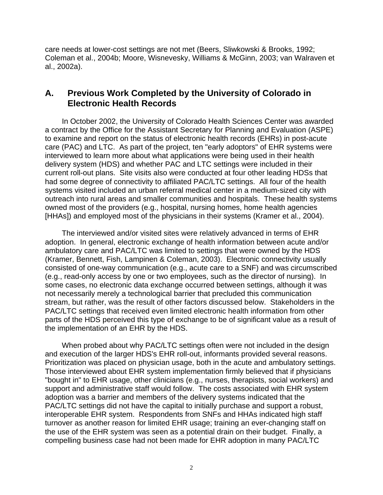care needs at lower-cost settings are not met (Beers, Sliwkowski & Brooks, 1992; Coleman et al., 2004b; Moore, Wisnevesky, Williams & McGinn, 2003; van Walraven et al., 2002a).

## **A. Previous Work Completed by the University of Colorado in Electronic Health Records**

In October 2002, the University of Colorado Health Sciences Center was awarded a contract by the Office for the Assistant Secretary for Planning and Evaluation (ASPE) to examine and report on the status of electronic health records (EHRs) in post-acute care (PAC) and LTC. As part of the project, ten "early adoptors" of EHR systems were interviewed to learn more about what applications were being used in their health delivery system (HDS) and whether PAC and LTC settings were included in their current roll-out plans. Site visits also were conducted at four other leading HDSs that had some degree of connectivity to affiliated PAC/LTC settings. All four of the health systems visited included an urban referral medical center in a medium-sized city with outreach into rural areas and smaller communities and hospitals. These health systems owned most of the providers (e.g., hospital, nursing homes, home health agencies [HHAs]) and employed most of the physicians in their systems (Kramer et al., 2004).

The interviewed and/or visited sites were relatively advanced in terms of EHR adoption. In general, electronic exchange of health information between acute and/or ambulatory care and PAC/LTC was limited to settings that were owned by the HDS (Kramer, Bennett, Fish, Lampinen & Coleman, 2003). Electronic connectivity usually consisted of one-way communication (e.g., acute care to a SNF) and was circumscribed (e.g., read-only access by one or two employees, such as the director of nursing). In some cases, no electronic data exchange occurred between settings, although it was not necessarily merely a technological barrier that precluded this communication stream, but rather, was the result of other factors discussed below. Stakeholders in the PAC/LTC settings that received even limited electronic health information from other parts of the HDS perceived this type of exchange to be of significant value as a result of the implementation of an EHR by the HDS.

When probed about why PAC/LTC settings often were not included in the design and execution of the larger HDS's EHR roll-out, informants provided several reasons. Prioritization was placed on physician usage, both in the acute and ambulatory settings. Those interviewed about EHR system implementation firmly believed that if physicians "bought in" to EHR usage, other clinicians (e.g., nurses, therapists, social workers) and support and administrative staff would follow. The costs associated with EHR system adoption was a barrier and members of the delivery systems indicated that the PAC/LTC settings did not have the capital to initially purchase and support a robust, interoperable EHR system. Respondents from SNFs and HHAs indicated high staff turnover as another reason for limited EHR usage; training an ever-changing staff on the use of the EHR system was seen as a potential drain on their budget. Finally, a compelling business case had not been made for EHR adoption in many PAC/LTC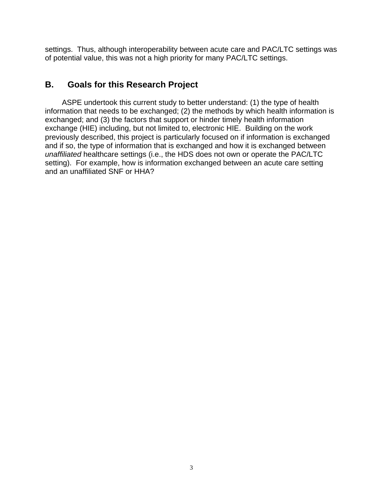settings. Thus, although interoperability between acute care and PAC/LTC settings was of potential value, this was not a high priority for many PAC/LTC settings.

## **B. Goals for this Research Project**

ASPE undertook this current study to better understand: (1) the type of health information that needs to be exchanged; (2) the methods by which health information is exchanged; and (3) the factors that support or hinder timely health information exchange (HIE) including, but not limited to, electronic HIE. Building on the work previously described, this project is particularly focused on if information is exchanged and if so, the type of information that is exchanged and how it is exchanged between *unaffiliated* healthcare settings (i.e., the HDS does not own or operate the PAC/LTC setting). For example, how is information exchanged between an acute care setting and an unaffiliated SNF or HHA?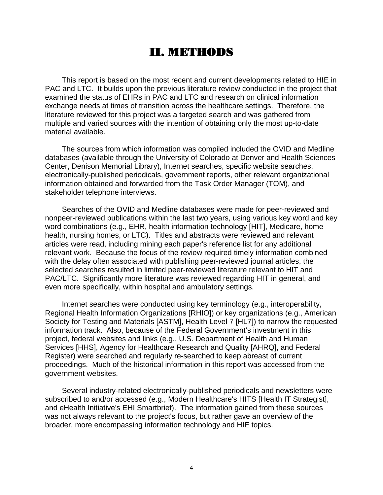# II. METHODS

This report is based on the most recent and current developments related to HIE in PAC and LTC. It builds upon the previous literature review conducted in the project that examined the status of EHRs in PAC and LTC and research on clinical information exchange needs at times of transition across the healthcare settings. Therefore, the literature reviewed for this project was a targeted search and was gathered from multiple and varied sources with the intention of obtaining only the most up-to-date material available.

The sources from which information was compiled included the OVID and Medline databases (available through the University of Colorado at Denver and Health Sciences Center, Denison Memorial Library), Internet searches, specific website searches, electronically-published periodicals, government reports, other relevant organizational information obtained and forwarded from the Task Order Manager (TOM), and stakeholder telephone interviews.

Searches of the OVID and Medline databases were made for peer-reviewed and nonpeer-reviewed publications within the last two years, using various key word and key word combinations (e.g., EHR, health information technology [HIT], Medicare, home health, nursing homes, or LTC). Titles and abstracts were reviewed and relevant articles were read, including mining each paper's reference list for any additional relevant work. Because the focus of the review required timely information combined with the delay often associated with publishing peer-reviewed journal articles, the selected searches resulted in limited peer-reviewed literature relevant to HIT and PAC/LTC. Significantly more literature was reviewed regarding HIT in general, and even more specifically, within hospital and ambulatory settings.

Internet searches were conducted using key terminology (e.g., interoperability, Regional Health Information Organizations [RHIO]) or key organizations (e.g., American Society for Testing and Materials [ASTM], Health Level 7 [HL7]) to narrow the requested information track. Also, because of the Federal Government's investment in this project, federal websites and links (e.g., U.S. Department of Health and Human Services [HHS], Agency for Healthcare Research and Quality [AHRQ], and Federal Register) were searched and regularly re-searched to keep abreast of current proceedings. Much of the historical information in this report was accessed from the government websites.

Several industry-related electronically-published periodicals and newsletters were subscribed to and/or accessed (e.g., Modern Healthcare's HITS [Health IT Strategist], and eHealth Initiative's EHI Smartbrief). The information gained from these sources was not always relevant to the project's focus, but rather gave an overview of the broader, more encompassing information technology and HIE topics.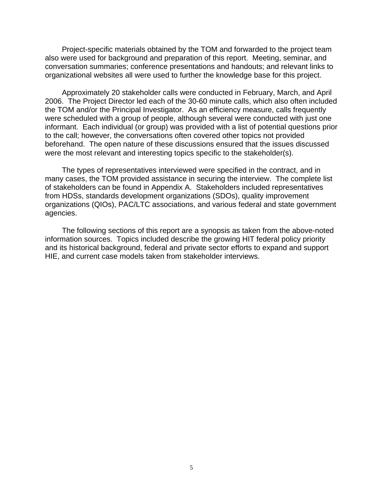Project-specific materials obtained by the TOM and forwarded to the project team also were used for background and preparation of this report. Meeting, seminar, and conversation summaries; conference presentations and handouts; and relevant links to organizational websites all were used to further the knowledge base for this project.

Approximately 20 stakeholder calls were conducted in February, March, and April 2006. The Project Director led each of the 30-60 minute calls, which also often included the TOM and/or the Principal Investigator. As an efficiency measure, calls frequently were scheduled with a group of people, although several were conducted with just one informant. Each individual (or group) was provided with a list of potential questions prior to the call; however, the conversations often covered other topics not provided beforehand. The open nature of these discussions ensured that the issues discussed were the most relevant and interesting topics specific to the stakeholder(s).

The types of representatives interviewed were specified in the contract, and in many cases, the TOM provided assistance in securing the interview. The complete list of stakeholders can be found in Appendix A. Stakeholders included representatives from HDSs, standards development organizations (SDOs), quality improvement organizations (QIOs), PAC/LTC associations, and various federal and state government agencies.

The following sections of this report are a synopsis as taken from the above-noted information sources. Topics included describe the growing HIT federal policy priority and its historical background, federal and private sector efforts to expand and support HIE, and current case models taken from stakeholder interviews.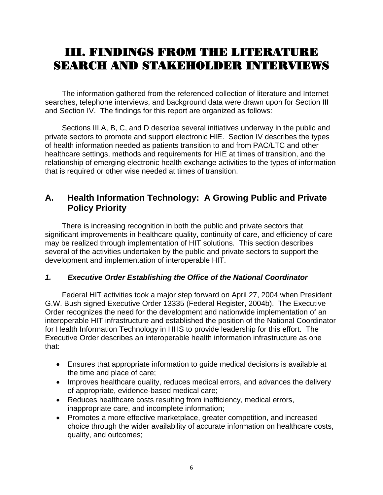# III. FINDINGS FROM THE LITERATURE SEARCH AND STAKEHOLDER INTERVIEWS

The information gathered from the referenced collection of literature and Internet searches, telephone interviews, and background data were drawn upon for Section III and Section IV. The findings for this report are organized as follows:

Sections III.A, B, C, and D describe several initiatives underway in the public and private sectors to promote and support electronic HIE. Section IV describes the types of health information needed as patients transition to and from PAC/LTC and other healthcare settings, methods and requirements for HIE at times of transition, and the relationship of emerging electronic health exchange activities to the types of information that is required or other wise needed at times of transition.

# **A. Health Information Technology: A Growing Public and Private Policy Priority**

There is increasing recognition in both the public and private sectors that significant improvements in healthcare quality, continuity of care, and efficiency of care may be realized through implementation of HIT solutions. This section describes several of the activities undertaken by the public and private sectors to support the development and implementation of interoperable HIT.

#### *1. Executive Order Establishing the Office of the National Coordinator*

Federal HIT activities took a major step forward on April 27, 2004 when President G.W. Bush signed Executive Order 13335 (Federal Register, 2004b). The Executive Order recognizes the need for the development and nationwide implementation of an interoperable HIT infrastructure and established the position of the National Coordinator for Health Information Technology in HHS to provide leadership for this effort. The Executive Order describes an interoperable health information infrastructure as one that:

- Ensures that appropriate information to guide medical decisions is available at the time and place of care;
- Improves healthcare quality, reduces medical errors, and advances the delivery of appropriate, evidence-based medical care;
- Reduces healthcare costs resulting from inefficiency, medical errors, inappropriate care, and incomplete information;
- Promotes a more effective marketplace, greater competition, and increased choice through the wider availability of accurate information on healthcare costs, quality, and outcomes;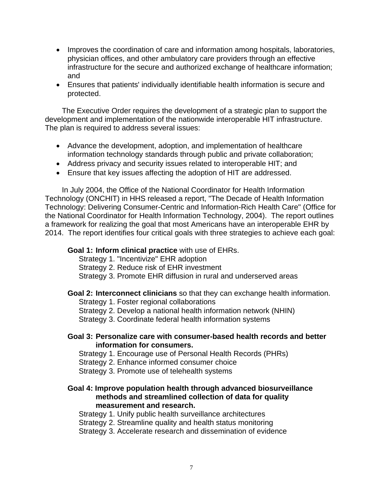- Improves the coordination of care and information among hospitals, laboratories, physician offices, and other ambulatory care providers through an effective infrastructure for the secure and authorized exchange of healthcare information; and
- Ensures that patients' individually identifiable health information is secure and protected.

The Executive Order requires the development of a strategic plan to support the development and implementation of the nationwide interoperable HIT infrastructure. The plan is required to address several issues:

- Advance the development, adoption, and implementation of healthcare information technology standards through public and private collaboration;
- Address privacy and security issues related to interoperable HIT; and
- Ensure that key issues affecting the adoption of HIT are addressed.

In July 2004, the Office of the National Coordinator for Health Information Technology (ONCHIT) in HHS released a report, "The Decade of Health Information Technology: Delivering Consumer-Centric and Information-Rich Health Care" (Office for the National Coordinator for Health Information Technology, 2004). The report outlines a framework for realizing the goal that most Americans have an interoperable EHR by 2014. The report identifies four critical goals with three strategies to achieve each goal:

#### **Goal 1: Inform clinical practice** with use of EHRs.

Strategy 1. "Incentivize" EHR adoption

Strategy 2. Reduce risk of EHR investment

Strategy 3. Promote EHR diffusion in rural and underserved areas

#### **Goal 2: Interconnect clinicians** so that they can exchange health information.

Strategy 1. Foster regional collaborations

Strategy 2. Develop a national health information network (NHIN)

Strategy 3. Coordinate federal health information systems

#### **Goal 3: Personalize care with consumer-based health records and better information for consumers.**

Strategy 1. Encourage use of Personal Health Records (PHRs)

Strategy 2. Enhance informed consumer choice

Strategy 3. Promote use of telehealth systems

#### **Goal 4: Improve population health through advanced biosurveillance methods and streamlined collection of data for quality measurement and research.**

Strategy 1. Unify public health surveillance architectures

Strategy 2. Streamline quality and health status monitoring

Strategy 3. Accelerate research and dissemination of evidence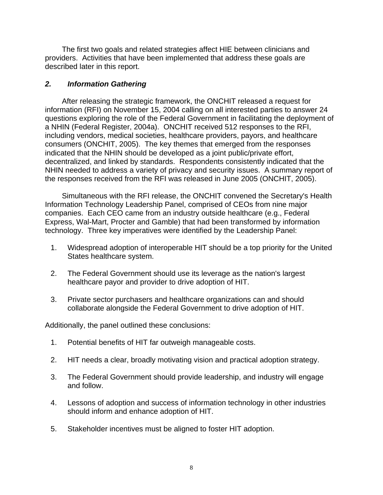The first two goals and related strategies affect HIE between clinicians and providers. Activities that have been implemented that address these goals are described later in this report.

#### *2. Information Gathering*

After releasing the strategic framework, the ONCHIT released a request for information (RFI) on November 15, 2004 calling on all interested parties to answer 24 questions exploring the role of the Federal Government in facilitating the deployment of a NHIN (Federal Register, 2004a). ONCHIT received 512 responses to the RFI, including vendors, medical societies, healthcare providers, payors, and healthcare consumers (ONCHIT, 2005). The key themes that emerged from the responses indicated that the NHIN should be developed as a joint public/private effort, decentralized, and linked by standards. Respondents consistently indicated that the NHIN needed to address a variety of privacy and security issues. A summary report of the responses received from the RFI was released in June 2005 (ONCHIT, 2005).

Simultaneous with the RFI release, the ONCHIT convened the Secretary's Health Information Technology Leadership Panel, comprised of CEOs from nine major companies. Each CEO came from an industry outside healthcare (e.g., Federal Express, Wal-Mart, Procter and Gamble) that had been transformed by information technology. Three key imperatives were identified by the Leadership Panel:

- 1. Widespread adoption of interoperable HIT should be a top priority for the United States healthcare system.
- 2. The Federal Government should use its leverage as the nation's largest healthcare payor and provider to drive adoption of HIT.
- 3. Private sector purchasers and healthcare organizations can and should collaborate alongside the Federal Government to drive adoption of HIT.

Additionally, the panel outlined these conclusions:

- 1. Potential benefits of HIT far outweigh manageable costs.
- 2. HIT needs a clear, broadly motivating vision and practical adoption strategy.
- 3. The Federal Government should provide leadership, and industry will engage and follow.
- 4. Lessons of adoption and success of information technology in other industries should inform and enhance adoption of HIT.
- 5. Stakeholder incentives must be aligned to foster HIT adoption.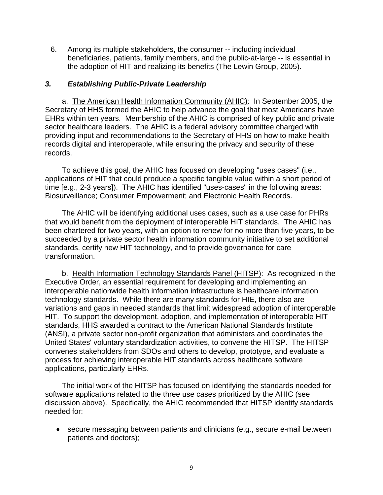6. Among its multiple stakeholders, the consumer -- including individual beneficiaries, patients, family members, and the public-at-large -- is essential in the adoption of HIT and realizing its benefits (The Lewin Group, 2005).

#### *3. Establishing Public-Private Leadership*

a. The American Health Information Community (AHIC): In September 2005, the Secretary of HHS formed the AHIC to help advance the goal that most Americans have EHRs within ten years. Membership of the AHIC is comprised of key public and private sector healthcare leaders. The AHIC is a federal advisory committee charged with providing input and recommendations to the Secretary of HHS on how to make health records digital and interoperable, while ensuring the privacy and security of these records.

To achieve this goal, the AHIC has focused on developing "uses cases" (i.e., applications of HIT that could produce a specific tangible value within a short period of time [e.g., 2-3 years]). The AHIC has identified "uses-cases" in the following areas: Biosurveillance; Consumer Empowerment; and Electronic Health Records.

The AHIC will be identifying additional uses cases, such as a use case for PHRs that would benefit from the deployment of interoperable HIT standards. The AHIC has been chartered for two years, with an option to renew for no more than five years, to be succeeded by a private sector health information community initiative to set additional standards, certify new HIT technology, and to provide governance for care transformation.

b. Health Information Technology Standards Panel (HITSP): As recognized in the Executive Order, an essential requirement for developing and implementing an interoperable nationwide health information infrastructure is healthcare information technology standards. While there are many standards for HIE, there also are variations and gaps in needed standards that limit widespread adoption of interoperable HIT. To support the development, adoption, and implementation of interoperable HIT standards, HHS awarded a contract to the American National Standards Institute (ANSI), a private sector non-profit organization that administers and coordinates the United States' voluntary standardization activities, to convene the HITSP. The HITSP convenes stakeholders from SDOs and others to develop, prototype, and evaluate a process for achieving interoperable HIT standards across healthcare software applications, particularly EHRs.

The initial work of the HITSP has focused on identifying the standards needed for software applications related to the three use cases prioritized by the AHIC (see discussion above). Specifically, the AHIC recommended that HITSP identify standards needed for:

• secure messaging between patients and clinicians (e.g., secure e-mail between patients and doctors);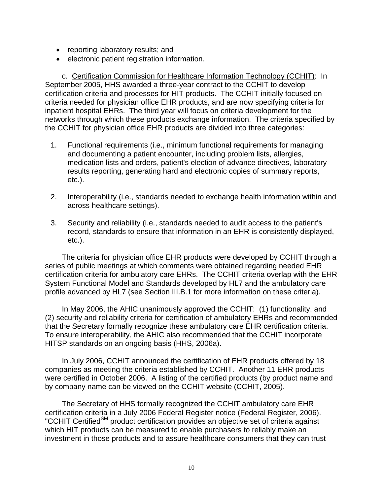- reporting laboratory results; and
- electronic patient registration information.

c. Certification Commission for Healthcare Information Technology (CCHIT): In September 2005, HHS awarded a three-year contract to the CCHIT to develop certification criteria and processes for HIT products. The CCHIT initially focused on criteria needed for physician office EHR products, and are now specifying criteria for inpatient hospital EHRs. The third year will focus on criteria development for the networks through which these products exchange information. The criteria specified by the CCHIT for physician office EHR products are divided into three categories:

- 1. Functional requirements (i.e., minimum functional requirements for managing and documenting a patient encounter, including problem lists, allergies, medication lists and orders, patient's election of advance directives, laboratory results reporting, generating hard and electronic copies of summary reports, etc.).
- 2. Interoperability (i.e., standards needed to exchange health information within and across healthcare settings).
- 3. Security and reliability (i.e., standards needed to audit access to the patient's record, standards to ensure that information in an EHR is consistently displayed, etc.).

The criteria for physician office EHR products were developed by CCHIT through a series of public meetings at which comments were obtained regarding needed EHR certification criteria for ambulatory care EHRs. The CCHIT criteria overlap with the EHR System Functional Model and Standards developed by HL7 and the ambulatory care profile advanced by HL7 (see Section III.B.1 for more information on these criteria).

In May 2006, the AHIC unanimously approved the CCHIT: (1) functionality, and (2) security and reliability criteria for certification of ambulatory EHRs and recommended that the Secretary formally recognize these ambulatory care EHR certification criteria. To ensure interoperability, the AHIC also recommended that the CCHIT incorporate HITSP standards on an ongoing basis (HHS, 2006a).

In July 2006, CCHIT announced the certification of EHR products offered by 18 companies as meeting the criteria established by CCHIT. Another 11 EHR products were certified in October 2006. A listing of the certified products (by product name and by company name can be viewed on the CCHIT website (CCHIT, 2005).

The Secretary of HHS formally recognized the CCHIT ambulatory care EHR certification criteria in a July 2006 Federal Register notice (Federal Register, 2006). "CCHIT Certified<sup>SM</sup> product certification provides an objective set of criteria against which HIT products can be measured to enable purchasers to reliably make an investment in those products and to assure healthcare consumers that they can trust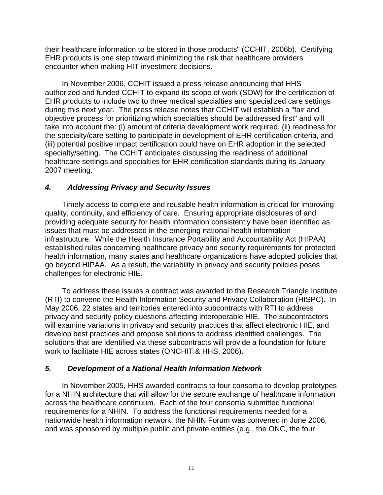their healthcare information to be stored in those products" (CCHIT, 2006b). Certifying EHR products is one step toward minimizing the risk that healthcare providers encounter when making HIT investment decisions.

In November 2006, CCHIT issued a press release announcing that HHS authorized and funded CCHIT to expand its scope of work (SOW) for the certification of EHR products to include two to three medical specialties and specialized care settings during this next year. The press release notes that CCHIT will establish a "fair and objective process for prioritizing which specialties should be addressed first" and will take into account the: (i) amount of criteria development work required, (ii) readiness for the specialty/care setting to participate in development of EHR certification criteria, and (iii) potential positive impact certification could have on EHR adoption in the selected specialty/setting. The CCHIT anticipates discussing the readiness of additional healthcare settings and specialties for EHR certification standards during its January 2007 meeting.

#### *4. Addressing Privacy and Security Issues*

Timely access to complete and reusable health information is critical for improving quality, continuity, and efficiency of care. Ensuring appropriate disclosures of and providing adequate security for health information consistently have been identified as issues that must be addressed in the emerging national health information infrastructure. While the Health Insurance Portability and Accountability Act (HIPAA) established rules concerning healthcare privacy and security requirements for protected health information, many states and healthcare organizations have adopted policies that go beyond HIPAA. As a result, the variability in privacy and security policies poses challenges for electronic HIE.

To address these issues a contract was awarded to the Research Triangle Institute (RTI) to convene the Health Information Security and Privacy Collaboration (HISPC). In May 2006, 22 states and territories entered into subcontracts with RTI to address privacy and security policy questions affecting interoperable HIE. The subcontractors will examine variations in privacy and security practices that affect electronic HIE, and develop best practices and propose solutions to address identified challenges. The solutions that are identified via these subcontracts will provide a foundation for future work to facilitate HIE across states (ONCHIT & HHS, 2006).

#### *5. Development of a National Health Information Network*

In November 2005, HHS awarded contracts to four consortia to develop prototypes for a NHIN architecture that will allow for the secure exchange of healthcare information across the healthcare continuum. Each of the four consortia submitted functional requirements for a NHIN. To address the functional requirements needed for a nationwide health information network, the NHIN Forum was convened in June 2006, and was sponsored by multiple public and private entities (e.g., the ONC, the four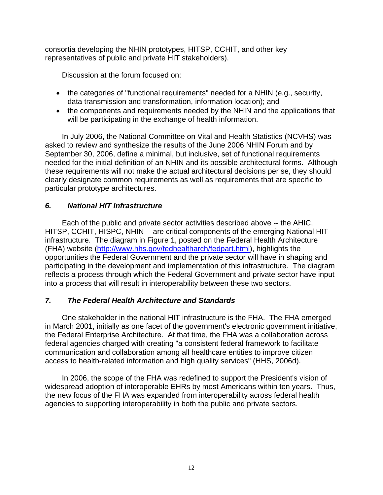consortia developing the NHIN prototypes, HITSP, CCHIT, and other key representatives of public and private HIT stakeholders).

Discussion at the forum focused on:

- the categories of "functional requirements" needed for a NHIN (e.g., security, data transmission and transformation, information location); and
- the components and requirements needed by the NHIN and the applications that will be participating in the exchange of health information.

In July 2006, the National Committee on Vital and Health Statistics (NCVHS) was asked to review and synthesize the results of the June 2006 NHIN Forum and by September 30, 2006, define a minimal, but inclusive, set of functional requirements needed for the initial definition of an NHIN and its possible architectural forms. Although these requirements will not make the actual architectural decisions per se, they should clearly designate common requirements as well as requirements that are specific to particular prototype architectures.

#### *6. National HIT Infrastructure*

Each of the public and private sector activities described above -- the AHIC, HITSP, CCHIT, HISPC, NHIN -- are critical components of the emerging National HIT infrastructure. The diagram in Figure 1, posted on the Federal Health Architecture (FHA) website [\(http://www.hhs.gov/fedhealtharch/fedpart.html\)](http://www.hhs.gov/fedhealtharch/fedpart.html), highlights the opportunities the Federal Government and the private sector will have in shaping and participating in the development and implementation of this infrastructure. The diagram reflects a process through which the Federal Government and private sector have input into a process that will result in interoperability between these two sectors.

## *7. The Federal Health Architecture and Standards*

One stakeholder in the national HIT infrastructure is the FHA. The FHA emerged in March 2001, initially as one facet of the government's electronic government initiative, the Federal Enterprise Architecture. At that time, the FHA was a collaboration across federal agencies charged with creating "a consistent federal framework to facilitate communication and collaboration among all healthcare entities to improve citizen access to health-related information and high quality services" (HHS, 2006d).

In 2006, the scope of the FHA was redefined to support the President's vision of widespread adoption of interoperable EHRs by most Americans within ten years. Thus, the new focus of the FHA was expanded from interoperability across federal health agencies to supporting interoperability in both the public and private sectors.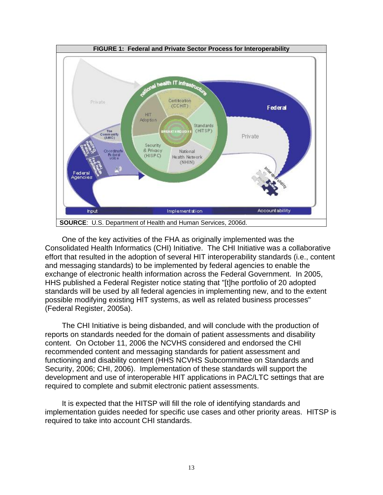

One of the key activities of the FHA as originally implemented was the Consolidated Health Informatics (CHI) Initiative. The CHI Initiative was a collaborative effort that resulted in the adoption of several HIT interoperability standards (i.e., content and messaging standards) to be implemented by federal agencies to enable the exchange of electronic health information across the Federal Government. In 2005, HHS published a Federal Register notice stating that "[t]he portfolio of 20 adopted standards will be used by all federal agencies in implementing new, and to the extent possible modifying existing HIT systems, as well as related business processes" (Federal Register, 2005a).

The CHI Initiative is being disbanded, and will conclude with the production of reports on standards needed for the domain of patient assessments and disability content. On October 11, 2006 the NCVHS considered and endorsed the CHI recommended content and messaging standards for patient assessment and functioning and disability content (HHS NCVHS Subcommittee on Standards and Security, 2006; CHI, 2006). Implementation of these standards will support the development and use of interoperable HIT applications in PAC/LTC settings that are required to complete and submit electronic patient assessments.

It is expected that the HITSP will fill the role of identifying standards and implementation guides needed for specific use cases and other priority areas. HITSP is required to take into account CHI standards.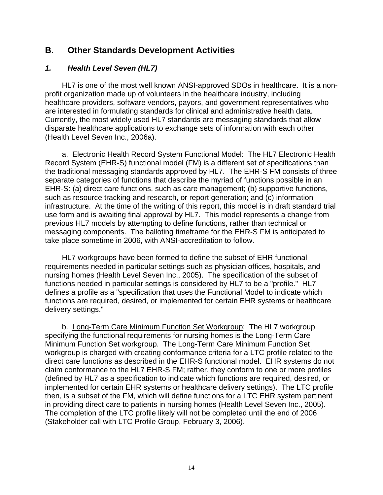## **B. Other Standards Development Activities**

#### *1. Health Level Seven (HL7)*

HL7 is one of the most well known ANSI-approved SDOs in healthcare. It is a nonprofit organization made up of volunteers in the healthcare industry, including healthcare providers, software vendors, payors, and government representatives who are interested in formulating standards for clinical and administrative health data. Currently, the most widely used HL7 standards are messaging standards that allow disparate healthcare applications to exchange sets of information with each other (Health Level Seven Inc., 2006a).

a. Electronic Health Record System Functional Model: The HL7 Electronic Health Record System (EHR-S) functional model (FM) is a different set of specifications than the traditional messaging standards approved by HL7. The EHR-S FM consists of three separate categories of functions that describe the myriad of functions possible in an EHR-S: (a) direct care functions, such as care management; (b) supportive functions, such as resource tracking and research, or report generation; and (c) information infrastructure. At the time of the writing of this report, this model is in draft standard trial use form and is awaiting final approval by HL7. This model represents a change from previous HL7 models by attempting to define functions, rather than technical or messaging components. The balloting timeframe for the EHR-S FM is anticipated to take place sometime in 2006, with ANSI-accreditation to follow.

HL7 workgroups have been formed to define the subset of EHR functional requirements needed in particular settings such as physician offices, hospitals, and nursing homes (Health Level Seven Inc., 2005). The specification of the subset of functions needed in particular settings is considered by HL7 to be a "profile." HL7 defines a profile as a "specification that uses the Functional Model to indicate which functions are required, desired, or implemented for certain EHR systems or healthcare delivery settings."

b. Long-Term Care Minimum Function Set Workgroup: The HL7 workgroup specifying the functional requirements for nursing homes is the Long-Term Care Minimum Function Set workgroup. The Long-Term Care Minimum Function Set workgroup is charged with creating conformance criteria for a LTC profile related to the direct care functions as described in the EHR-S functional model. EHR systems do not claim conformance to the HL7 EHR-S FM; rather, they conform to one or more profiles (defined by HL7 as a specification to indicate which functions are required, desired, or implemented for certain EHR systems or healthcare delivery settings). The LTC profile then, is a subset of the FM, which will define functions for a LTC EHR system pertinent in providing direct care to patients in nursing homes (Health Level Seven Inc., 2005). The completion of the LTC profile likely will not be completed until the end of 2006 (Stakeholder call with LTC Profile Group, February 3, 2006).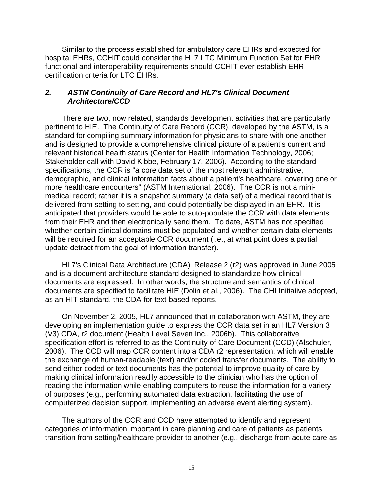Similar to the process established for ambulatory care EHRs and expected for hospital EHRs, CCHIT could consider the HL7 LTC Minimum Function Set for EHR functional and interoperability requirements should CCHIT ever establish EHR certification criteria for LTC EHRs.

#### *2. ASTM Continuity of Care Record and HL7's Clinical Document Architecture/CCD*

There are two, now related, standards development activities that are particularly pertinent to HIE. The Continuity of Care Record (CCR), developed by the ASTM, is a standard for compiling summary information for physicians to share with one another and is designed to provide a comprehensive clinical picture of a patient's current and relevant historical health status (Center for Health Information Technology, 2006; Stakeholder call with David Kibbe, February 17, 2006). According to the standard specifications, the CCR is "a core data set of the most relevant administrative, demographic, and clinical information facts about a patient's healthcare, covering one or more healthcare encounters" (ASTM International, 2006). The CCR is not a minimedical record; rather it is a snapshot summary (a data set) of a medical record that is delivered from setting to setting, and could potentially be displayed in an EHR. It is anticipated that providers would be able to auto-populate the CCR with data elements from their EHR and then electronically send them. To date, ASTM has not specified whether certain clinical domains must be populated and whether certain data elements will be required for an acceptable CCR document (i.e., at what point does a partial update detract from the goal of information transfer).

HL7's Clinical Data Architecture (CDA), Release 2 (r2) was approved in June 2005 and is a document architecture standard designed to standardize how clinical documents are expressed. In other words, the structure and semantics of clinical documents are specified to facilitate HIE (Dolin et al., 2006). The CHI Initiative adopted, as an HIT standard, the CDA for text-based reports.

On November 2, 2005, HL7 announced that in collaboration with ASTM, they are developing an implementation guide to express the CCR data set in an HL7 Version 3 (V3) CDA, r2 document (Health Level Seven Inc., 2006b). This collaborative specification effort is referred to as the Continuity of Care Document (CCD) (Alschuler, 2006). The CCD will map CCR content into a CDA r2 representation, which will enable the exchange of human-readable (text) and/or coded transfer documents. The ability to send either coded or text documents has the potential to improve quality of care by making clinical information readily accessible to the clinician who has the option of reading the information while enabling computers to reuse the information for a variety of purposes (e.g., performing automated data extraction, facilitating the use of computerized decision support, implementing an adverse event alerting system).

The authors of the CCR and CCD have attempted to identify and represent categories of information important in care planning and care of patients as patients transition from setting/healthcare provider to another (e.g., discharge from acute care as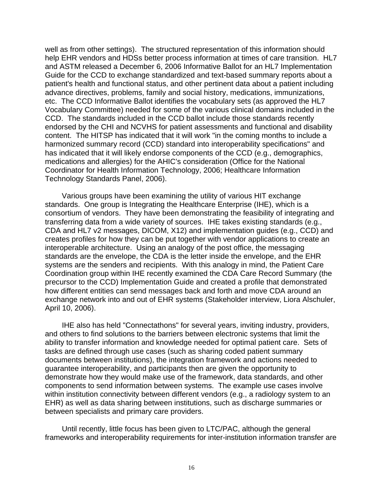well as from other settings). The structured representation of this information should help EHR vendors and HDSs better process information at times of care transition. HL7 and ASTM released a December 6, 2006 Informative Ballot for an HL7 Implementation Guide for the CCD to exchange standardized and text-based summary reports about a patient's health and functional status, and other pertinent data about a patient including advance directives, problems, family and social history, medications, immunizations, etc. The CCD Informative Ballot identifies the vocabulary sets (as approved the HL7 Vocabulary Committee) needed for some of the various clinical domains included in the CCD. The standards included in the CCD ballot include those standards recently endorsed by the CHI and NCVHS for patient assessments and functional and disability content. The HITSP has indicated that it will work "in the coming months to include a harmonized summary record (CCD) standard into interoperability specifications" and has indicated that it will likely endorse components of the CCD (e.g., demographics, medications and allergies) for the AHIC's consideration (Office for the National Coordinator for Health Information Technology, 2006; Healthcare Information Technology Standards Panel, 2006).

Various groups have been examining the utility of various HIT exchange standards. One group is Integrating the Healthcare Enterprise (IHE), which is a consortium of vendors. They have been demonstrating the feasibility of integrating and transferring data from a wide variety of sources. IHE takes existing standards (e.g., CDA and HL7 v2 messages, DICOM, X12) and implementation guides (e.g., CCD) and creates profiles for how they can be put together with vendor applications to create an interoperable architecture. Using an analogy of the post office, the messaging standards are the envelope, the CDA is the letter inside the envelope, and the EHR systems are the senders and recipients. With this analogy in mind, the Patient Care Coordination group within IHE recently examined the CDA Care Record Summary (the precursor to the CCD) Implementation Guide and created a profile that demonstrated how different entities can send messages back and forth and move CDA around an exchange network into and out of EHR systems (Stakeholder interview, Liora Alschuler, April 10, 2006).

IHE also has held "Connectathons" for several years, inviting industry, providers, and others to find solutions to the barriers between electronic systems that limit the ability to transfer information and knowledge needed for optimal patient care. Sets of tasks are defined through use cases (such as sharing coded patient summary documents between institutions), the integration framework and actions needed to guarantee interoperability, and participants then are given the opportunity to demonstrate how they would make use of the framework, data standards, and other components to send information between systems. The example use cases involve within institution connectivity between different vendors (e.g., a radiology system to an EHR) as well as data sharing between institutions, such as discharge summaries or between specialists and primary care providers.

Until recently, little focus has been given to LTC/PAC, although the general frameworks and interoperability requirements for inter-institution information transfer are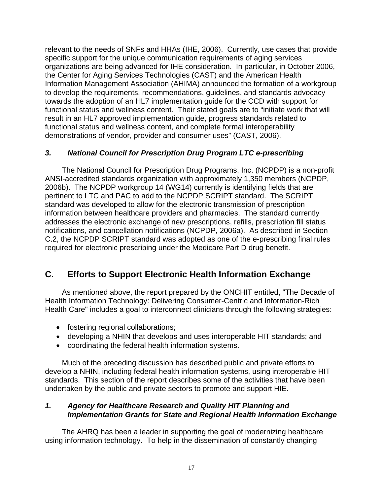relevant to the needs of SNFs and HHAs (IHE, 2006). Currently, use cases that provide specific support for the unique communication requirements of aging services organizations are being advanced for IHE consideration. In particular, in October 2006, the Center for Aging Services Technologies (CAST) and the American Health Information Management Association (AHIMA) announced the formation of a workgroup to develop the requirements, recommendations, guidelines, and standards advocacy towards the adoption of an HL7 implementation guide for the CCD with support for functional status and wellness content. Their stated goals are to "initiate work that will result in an HL7 approved implementation guide, progress standards related to functional status and wellness content, and complete formal interoperability demonstrations of vendor, provider and consumer uses" (CAST, 2006).

#### *3. National Council for Prescription Drug Program LTC e-prescribing*

The National Council for Prescription Drug Programs, Inc. (NCPDP) is a non-profit ANSI-accredited standards organization with approximately 1,350 members (NCPDP, 2006b). The NCPDP workgroup 14 (WG14) currently is identifying fields that are pertinent to LTC and PAC to add to the NCPDP SCRIPT standard. The SCRIPT standard was developed to allow for the electronic transmission of prescription information between healthcare providers and pharmacies. The standard currently addresses the electronic exchange of new prescriptions, refills, prescription fill status notifications, and cancellation notifications (NCPDP, 2006a). As described in Section C.2, the NCPDP SCRIPT standard was adopted as one of the e-prescribing final rules required for electronic prescribing under the Medicare Part D drug benefit.

# **C. Efforts to Support Electronic Health Information Exchange**

As mentioned above, the report prepared by the ONCHIT entitled, "The Decade of Health Information Technology: Delivering Consumer-Centric and Information-Rich Health Care" includes a goal to interconnect clinicians through the following strategies:

- fostering regional collaborations;
- developing a NHIN that develops and uses interoperable HIT standards; and
- coordinating the federal health information systems.

Much of the preceding discussion has described public and private efforts to develop a NHIN, including federal health information systems, using interoperable HIT standards. This section of the report describes some of the activities that have been undertaken by the public and private sectors to promote and support HIE.

#### *1. Agency for Healthcare Research and Quality HIT Planning and Implementation Grants for State and Regional Health Information Exchange*

The AHRQ has been a leader in supporting the goal of modernizing healthcare using information technology. To help in the dissemination of constantly changing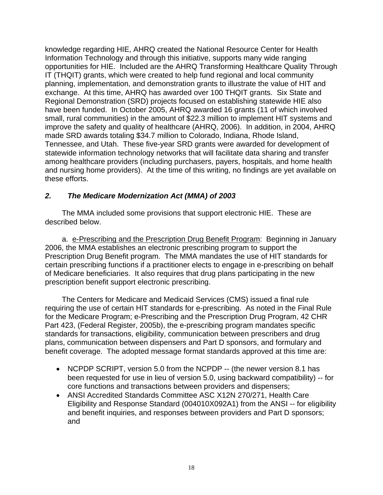knowledge regarding HIE, AHRQ created the National Resource Center for Health Information Technology and through this initiative, supports many wide ranging opportunities for HIE. Included are the AHRQ Transforming Healthcare Quality Through IT (THQIT) grants, which were created to help fund regional and local community planning, implementation, and demonstration grants to illustrate the value of HIT and exchange. At this time, AHRQ has awarded over 100 THQIT grants. Six State and Regional Demonstration (SRD) projects focused on establishing statewide HIE also have been funded. In October 2005, AHRQ awarded 16 grants (11 of which involved small, rural communities) in the amount of \$22.3 million to implement HIT systems and improve the safety and quality of healthcare (AHRQ, 2006). In addition, in 2004, AHRQ made SRD awards totaling \$34.7 million to Colorado, Indiana, Rhode Island, Tennessee, and Utah. These five-year SRD grants were awarded for development of statewide information technology networks that will facilitate data sharing and transfer among healthcare providers (including purchasers, payers, hospitals, and home health and nursing home providers). At the time of this writing, no findings are yet available on these efforts.

#### *2. The Medicare Modernization Act (MMA) of 2003*

The MMA included some provisions that support electronic HIE. These are described below.

a. e-Prescribing and the Prescription Drug Benefit Program: Beginning in January 2006, the MMA establishes an electronic prescribing program to support the Prescription Drug Benefit program. The MMA mandates the use of HIT standards for certain prescribing functions if a practitioner elects to engage in e-prescribing on behalf of Medicare beneficiaries. It also requires that drug plans participating in the new prescription benefit support electronic prescribing.

The Centers for Medicare and Medicaid Services (CMS) issued a final rule requiring the use of certain HIT standards for e-prescribing. As noted in the Final Rule for the Medicare Program; e-Prescribing and the Prescription Drug Program, 42 CHR Part 423, (Federal Register, 2005b), the e-prescribing program mandates specific standards for transactions, eligibility, communication between prescribers and drug plans, communication between dispensers and Part D sponsors, and formulary and benefit coverage. The adopted message format standards approved at this time are:

- NCPDP SCRIPT, version 5.0 from the NCPDP -- (the newer version 8.1 has been requested for use in lieu of version 5.0, using backward compatibility) -- for core functions and transactions between providers and dispensers;
- ANSI Accredited Standards Committee ASC X12N 270/271, Health Care Eligibility and Response Standard (004010X092A1) from the ANSI -- for eligibility and benefit inquiries, and responses between providers and Part D sponsors; and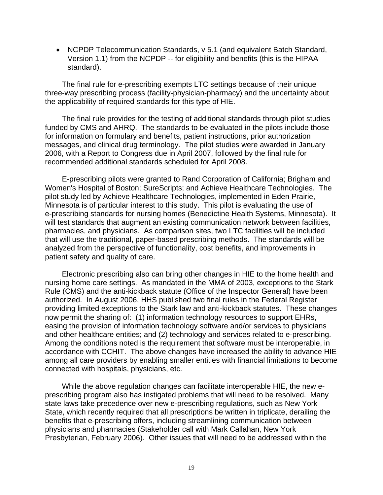• NCPDP Telecommunication Standards, v 5.1 (and equivalent Batch Standard, Version 1.1) from the NCPDP -- for eligibility and benefits (this is the HIPAA standard).

The final rule for e-prescribing exempts LTC settings because of their unique three-way prescribing process (facility-physician-pharmacy) and the uncertainty about the applicability of required standards for this type of HIE.

The final rule provides for the testing of additional standards through pilot studies funded by CMS and AHRQ. The standards to be evaluated in the pilots include those for information on formulary and benefits, patient instructions, prior authorization messages, and clinical drug terminology. The pilot studies were awarded in January 2006, with a Report to Congress due in April 2007, followed by the final rule for recommended additional standards scheduled for April 2008.

E-prescribing pilots were granted to Rand Corporation of California; Brigham and Women's Hospital of Boston; SureScripts; and Achieve Healthcare Technologies. The pilot study led by Achieve Healthcare Technologies, implemented in Eden Prairie, Minnesota is of particular interest to this study. This pilot is evaluating the use of e-prescribing standards for nursing homes (Benedictine Health Systems, Minnesota). It will test standards that augment an existing communication network between facilities, pharmacies, and physicians. As comparison sites, two LTC facilities will be included that will use the traditional, paper-based prescribing methods. The standards will be analyzed from the perspective of functionality, cost benefits, and improvements in patient safety and quality of care.

Electronic prescribing also can bring other changes in HIE to the home health and nursing home care settings. As mandated in the MMA of 2003, exceptions to the Stark Rule (CMS) and the anti-kickback statute (Office of the Inspector General) have been authorized. In August 2006, HHS published two final rules in the Federal Register providing limited exceptions to the Stark law and anti-kickback statutes. These changes now permit the sharing of: (1) information technology resources to support EHRs, easing the provision of information technology software and/or services to physicians and other healthcare entities; and (2) technology and services related to e-prescribing. Among the conditions noted is the requirement that software must be interoperable, in accordance with CCHIT. The above changes have increased the ability to advance HIE among all care providers by enabling smaller entities with financial limitations to become connected with hospitals, physicians, etc.

While the above regulation changes can facilitate interoperable HIE, the new eprescribing program also has instigated problems that will need to be resolved. Many state laws take precedence over new e-prescribing regulations, such as New York State, which recently required that all prescriptions be written in triplicate, derailing the benefits that e-prescribing offers, including streamlining communication between physicians and pharmacies (Stakeholder call with Mark Callahan, New York Presbyterian, February 2006). Other issues that will need to be addressed within the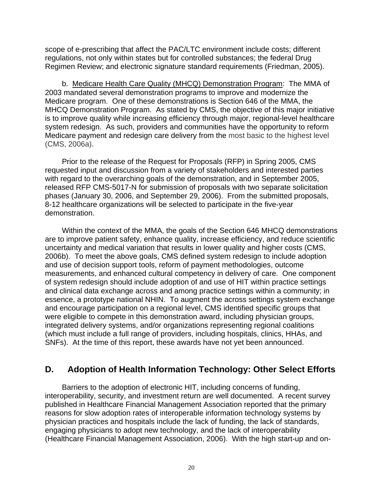scope of e-prescribing that affect the PAC/LTC environment include costs; different regulations, not only within states but for controlled substances; the federal Drug Regimen Review; and electronic signature standard requirements (Friedman, 2005).

b. Medicare Health Care Quality (MHCQ) Demonstration Program: The MMA of 2003 mandated several demonstration programs to improve and modernize the Medicare program. One of these demonstrations is Section 646 of the MMA, the MHCQ Demonstration Program. As stated by CMS, the objective of this major initiative is to improve quality while increasing efficiency through major, regional-level healthcare system redesign. As such, providers and communities have the opportunity to reform Medicare payment and redesign care delivery from the most basic to the highest level (CMS, 2006a).

Prior to the release of the Request for Proposals (RFP) in Spring 2005, CMS requested input and discussion from a variety of stakeholders and interested parties with regard to the overarching goals of the demonstration, and in September 2005, released RFP CMS-5017-N for submission of proposals with two separate solicitation phases (January 30, 2006, and September 29, 2006). From the submitted proposals, 8-12 healthcare organizations will be selected to participate in the five-year demonstration.

Within the context of the MMA, the goals of the Section 646 MHCQ demonstrations are to improve patient safety, enhance quality, increase efficiency, and reduce scientific uncertainty and medical variation that results in lower quality and higher costs (CMS, 2006b). To meet the above goals, CMS defined system redesign to include adoption and use of decision support tools, reform of payment methodologies, outcome measurements, and enhanced cultural competency in delivery of care. One component of system redesign should include adoption of and use of HIT within practice settings and clinical data exchange across and among practice settings within a community; in essence, a prototype national NHIN. To augment the across settings system exchange and encourage participation on a regional level, CMS identified specific groups that were eligible to compete in this demonstration award, including physician groups, integrated delivery systems, and/or organizations representing regional coalitions (which must include a full range of providers, including hospitals, clinics, HHAs, and SNFs). At the time of this report, these awards have not yet been announced.

# **D. Adoption of Health Information Technology: Other Select Efforts**

Barriers to the adoption of electronic HIT, including concerns of funding, interoperability, security, and investment return are well documented. A recent survey published in Healthcare Financial Management Association reported that the primary reasons for slow adoption rates of interoperable information technology systems by physician practices and hospitals include the lack of funding, the lack of standards, engaging physicians to adopt new technology, and the lack of interoperability (Healthcare Financial Management Association, 2006). With the high start-up and on-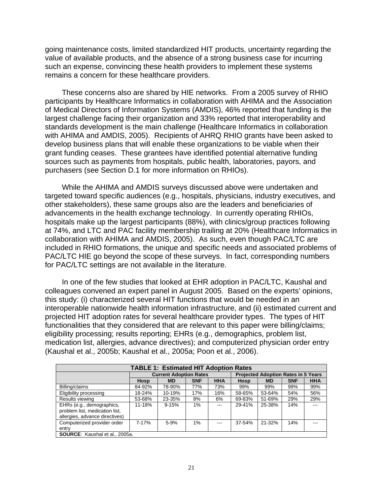going maintenance costs, limited standardized HIT products, uncertainty regarding the value of available products, and the absence of a strong business case for incurring such an expense, convincing these health providers to implement these systems remains a concern for these healthcare providers.

These concerns also are shared by HIE networks. From a 2005 survey of RHIO participants by Healthcare Informatics in collaboration with AHIMA and the Association of Medical Directors of Information Systems (AMDIS), 46% reported that funding is the largest challenge facing their organization and 33% reported that interoperability and standards development is the main challenge (Healthcare Informatics in collaboration with AHIMA and AMDIS, 2005). Recipients of AHRQ RHIO grants have been asked to develop business plans that will enable these organizations to be viable when their grant funding ceases. These grantees have identified potential alternative funding sources such as payments from hospitals, public health, laboratories, payors, and purchasers (see Section D.1 for more information on RHIOs).

While the AHIMA and AMDIS surveys discussed above were undertaken and targeted toward specific audiences (e.g., hospitals, physicians, industry executives, and other stakeholders), these same groups also are the leaders and beneficiaries of advancements in the health exchange technology. In currently operating RHIOs, hospitals make up the largest participants (88%), with clinics/group practices following at 74%, and LTC and PAC facility membership trailing at 20% (Healthcare Informatics in collaboration with AHIMA and AMDIS, 2005). As such, even though PAC/LTC are included in RHIO formations, the unique and specific needs and associated problems of PAC/LTC HIE go beyond the scope of these surveys. In fact, corresponding numbers for PAC/LTC settings are not available in the literature.

In one of the few studies that looked at EHR adoption in PAC/LTC, Kaushal and colleagues convened an expert panel in August 2005. Based on the experts' opinions, this study: (i) characterized several HIT functions that would be needed in an interoperable nationwide health information infrastructure, and (ii) estimated current and projected HIT adoption rates for several healthcare provider types. The types of HIT functionalities that they considered that are relevant to this paper were billing/claims; eligibility processing; results reporting; EHRs (e.g., demographics, problem list, medication list, allergies, advance directives); and computerized physician order entry (Kaushal et al., 2005b; Kaushal et al., 2005a; Poon et al., 2006).

| <b>TABLE 1: Estimated HIT Adoption Rates</b>                                                  |        |                               |            |            |                                            |           |            |            |
|-----------------------------------------------------------------------------------------------|--------|-------------------------------|------------|------------|--------------------------------------------|-----------|------------|------------|
|                                                                                               |        | <b>Current Adoption Rates</b> |            |            | <b>Projected Adoption Rates in 5 Years</b> |           |            |            |
|                                                                                               | Hosp   | <b>MD</b>                     | <b>SNF</b> | <b>HHA</b> | Hosp                                       | <b>MD</b> | <b>SNF</b> | <b>HHA</b> |
| Billing/claims                                                                                | 84-92% | 78-90%                        | 77%        | 73%        | 99%                                        | 99%       | 99%        | 99%        |
| Eligibility processing                                                                        | 18-24% | 10-19%                        | 17%        | 16%        | 58-65%                                     | 53-64%    | 54%        | 56%        |
| Results viewing                                                                               | 53-68% | 23-35%                        | 8%         | 6%         | 69-83%                                     | 51-69%    | 29%        | 29%        |
| EHRs (e.g., demographics,<br>problem list, medication list,<br>allergies, advance directives) | 11-18% | $9 - 15%$                     | 1%         | $- - -$    | 29-41%                                     | 25-38%    | 14%        |            |
| Computerized provider order<br>entry                                                          | 7-17%  | 5-9%                          | $1\%$      | $- - -$    | 37-54%                                     | 21-32%    | 14%        |            |
| <b>SOURCE:</b> Kaushal et al., 2005a.                                                         |        |                               |            |            |                                            |           |            |            |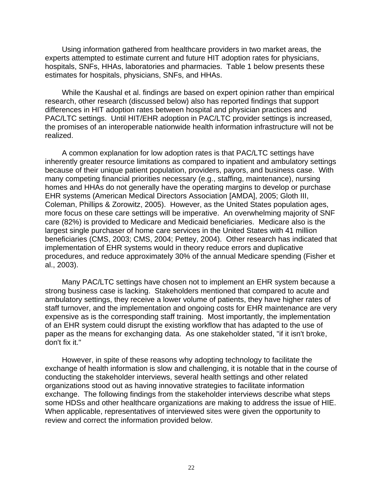Using information gathered from healthcare providers in two market areas, the experts attempted to estimate current and future HIT adoption rates for physicians, hospitals, SNFs, HHAs, laboratories and pharmacies. Table 1 below presents these estimates for hospitals, physicians, SNFs, and HHAs.

While the Kaushal et al. findings are based on expert opinion rather than empirical research, other research (discussed below) also has reported findings that support differences in HIT adoption rates between hospital and physician practices and PAC/LTC settings. Until HIT/EHR adoption in PAC/LTC provider settings is increased, the promises of an interoperable nationwide health information infrastructure will not be realized.

A common explanation for low adoption rates is that PAC/LTC settings have inherently greater resource limitations as compared to inpatient and ambulatory settings because of their unique patient population, providers, payors, and business case. With many competing financial priorities necessary (e.g., staffing, maintenance), nursing homes and HHAs do not generally have the operating margins to develop or purchase EHR systems (American Medical Directors Association [AMDA], 2005; Gloth III, Coleman, Phillips & Zorowitz, 2005). However, as the United States population ages, more focus on these care settings will be imperative. An overwhelming majority of SNF care (82%) is provided to Medicare and Medicaid beneficiaries. Medicare also is the largest single purchaser of home care services in the United States with 41 million beneficiaries (CMS, 2003; CMS, 2004; Pettey, 2004). Other research has indicated that implementation of EHR systems would in theory reduce errors and duplicative procedures, and reduce approximately 30% of the annual Medicare spending (Fisher et al., 2003).

Many PAC/LTC settings have chosen not to implement an EHR system because a strong business case is lacking. Stakeholders mentioned that compared to acute and ambulatory settings, they receive a lower volume of patients, they have higher rates of staff turnover, and the implementation and ongoing costs for EHR maintenance are very expensive as is the corresponding staff training. Most importantly, the implementation of an EHR system could disrupt the existing workflow that has adapted to the use of paper as the means for exchanging data. As one stakeholder stated, "if it isn't broke, don't fix it."

However, in spite of these reasons why adopting technology to facilitate the exchange of health information is slow and challenging, it is notable that in the course of conducting the stakeholder interviews, several health settings and other related organizations stood out as having innovative strategies to facilitate information exchange. The following findings from the stakeholder interviews describe what steps some HDSs and other healthcare organizations are making to address the issue of HIE. When applicable, representatives of interviewed sites were given the opportunity to review and correct the information provided below.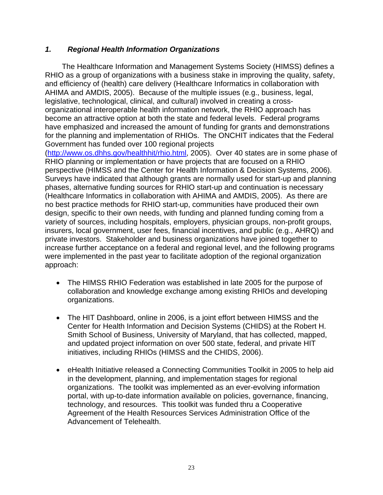#### *1. Regional Health Information Organizations*

The Healthcare Information and Management Systems Society (HIMSS) defines a RHIO as a group of organizations with a business stake in improving the quality, safety, and efficiency of (health) care delivery (Healthcare Informatics in collaboration with AHIMA and AMDIS, 2005). Because of the multiple issues (e.g., business, legal, legislative, technological, clinical, and cultural) involved in creating a crossorganizational interoperable health information network, the RHIO approach has become an attractive option at both the state and federal levels. Federal programs have emphasized and increased the amount of funding for grants and demonstrations for the planning and implementation of RHIOs. The ONCHIT indicates that the Federal Government has funded over 100 regional projects

(<http://www.os.dhhs.gov/healthhit/rhio.html>, 2005). Over 40 states are in some phase of RHIO planning or implementation or have projects that are focused on a RHIO perspective (HIMSS and the Center for Health Information & Decision Systems, 2006). Surveys have indicated that although grants are normally used for start-up and planning phases, alternative funding sources for RHIO start-up and continuation is necessary (Healthcare Informatics in collaboration with AHIMA and AMDIS, 2005). As there are no best practice methods for RHIO start-up, communities have produced their own design, specific to their own needs, with funding and planned funding coming from a variety of sources, including hospitals, employers, physician groups, non-profit groups, insurers, local government, user fees, financial incentives, and public (e.g., AHRQ) and private investors. Stakeholder and business organizations have joined together to increase further acceptance on a federal and regional level, and the following programs were implemented in the past year to facilitate adoption of the regional organization approach:

- The HIMSS RHIO Federation was established in late 2005 for the purpose of collaboration and knowledge exchange among existing RHIOs and developing organizations.
- The HIT Dashboard, online in 2006, is a joint effort between HIMSS and the Center for Health Information and Decision Systems (CHIDS) at the Robert H. Smith School of Business, University of Maryland, that has collected, mapped, and updated project information on over 500 state, federal, and private HIT initiatives, including RHIOs (HIMSS and the CHIDS, 2006).
- eHealth Initiative released a Connecting Communities Toolkit in 2005 to help aid in the development, planning, and implementation stages for regional organizations. The toolkit was implemented as an ever-evolving information portal, with up-to-date information available on policies, governance, financing, technology, and resources. This toolkit was funded thru a Cooperative Agreement of the Health Resources Services Administration Office of the Advancement of Telehealth.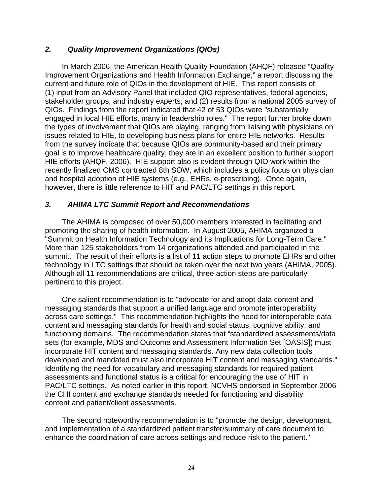#### *2. Quality Improvement Organizations (QIOs)*

In March 2006, the American Health Quality Foundation (AHQF) released "Quality Improvement Organizations and Health Information Exchange," a report discussing the current and future role of QIOs in the development of HIE. This report consists of: (1) input from an Advisory Panel that included QIO representatives, federal agencies, stakeholder groups, and industry experts; and (2) results from a national 2005 survey of QIOs. Findings from the report indicated that 42 of 53 QIOs were "substantially engaged in local HIE efforts, many in leadership roles." The report further broke down the types of involvement that QIOs are playing, ranging from liaising with physicians on issues related to HIE, to developing business plans for entire HIE networks. Results from the survey indicate that because QIOs are community-based and their primary goal is to improve healthcare quality, they are in an excellent position to further support HIE efforts (AHQF, 2006). HIE support also is evident through QIO work within the recently finalized CMS contracted 8th SOW, which includes a policy focus on physician and hospital adoption of HIE systems (e.g., EHRs, e-prescribing). Once again, however, there is little reference to HIT and PAC/LTC settings in this report.

#### *3. AHIMA LTC Summit Report and Recommendations*

The AHIMA is composed of over 50,000 members interested in facilitating and promoting the sharing of health information. In August 2005, AHIMA organized a "Summit on Health Information Technology and its Implications for Long-Term Care." More than 125 stakeholders from 14 organizations attended and participated in the summit. The result of their efforts is a list of 11 action steps to promote EHRs and other technology in LTC settings that should be taken over the next two years (AHIMA, 2005). Although all 11 recommendations are critical, three action steps are particularly pertinent to this project.

One salient recommendation is to "advocate for and adopt data content and messaging standards that support a unified language and promote interoperability across care settings." This recommendation highlights the need for interoperable data content and messaging standards for health and social status, cognitive ability, and functioning domains. The recommendation states that "standardized assessments/data sets (for example, MDS and Outcome and Assessment Information Set [OASIS]) must incorporate HIT content and messaging standards. Any new data collection tools developed and mandated must also incorporate HIT content and messaging standards." Identifying the need for vocabulary and messaging standards for required patient assessments and functional status is a critical for encouraging the use of HIT in PAC/LTC settings. As noted earlier in this report, NCVHS endorsed in September 2006 the CHI content and exchange standards needed for functioning and disability content and patient/client assessments.

The second noteworthy recommendation is to "promote the design, development, and implementation of a standardized patient transfer/summary of care document to enhance the coordination of care across settings and reduce risk to the patient."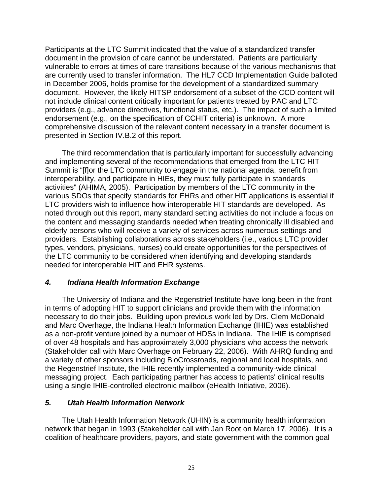Participants at the LTC Summit indicated that the value of a standardized transfer document in the provision of care cannot be understated. Patients are particularly vulnerable to errors at times of care transitions because of the various mechanisms that are currently used to transfer information. The HL7 CCD Implementation Guide balloted in December 2006, holds promise for the development of a standardized summary document. However, the likely HITSP endorsement of a subset of the CCD content will not include clinical content critically important for patients treated by PAC and LTC providers (e.g., advance directives, functional status, etc.). The impact of such a limited endorsement (e.g., on the specification of CCHIT criteria) is unknown. A more comprehensive discussion of the relevant content necessary in a transfer document is presented in Section IV.B.2 of this report.

The third recommendation that is particularly important for successfully advancing and implementing several of the recommendations that emerged from the LTC HIT Summit is "[f]or the LTC community to engage in the national agenda, benefit from interoperability, and participate in HIEs, they must fully participate in standards activities" (AHIMA, 2005). Participation by members of the LTC community in the various SDOs that specify standards for EHRs and other HIT applications is essential if LTC providers wish to influence how interoperable HIT standards are developed. As noted through out this report, many standard setting activities do not include a focus on the content and messaging standards needed when treating chronically ill disabled and elderly persons who will receive a variety of services across numerous settings and providers. Establishing collaborations across stakeholders (i.e., various LTC provider types, vendors, physicians, nurses) could create opportunities for the perspectives of the LTC community to be considered when identifying and developing standards needed for interoperable HIT and EHR systems.

#### *4. Indiana Health Information Exchange*

The University of Indiana and the Regenstrief Institute have long been in the front in terms of adopting HIT to support clinicians and provide them with the information necessary to do their jobs. Building upon previous work led by Drs. Clem McDonald and Marc Overhage, the Indiana Health Information Exchange (IHIE) was established as a non-profit venture joined by a number of HDSs in Indiana. The IHIE is comprised of over 48 hospitals and has approximately 3,000 physicians who access the network (Stakeholder call with Marc Overhage on February 22, 2006). With AHRQ funding and a variety of other sponsors including BioCrossroads, regional and local hospitals, and the Regenstrief Institute, the IHIE recently implemented a community-wide clinical messaging project. Each participating partner has access to patients' clinical results using a single IHIE-controlled electronic mailbox (eHealth Initiative, 2006).

#### *5. Utah Health Information Network*

The Utah Health Information Network (UHIN) is a community health information network that began in 1993 (Stakeholder call with Jan Root on March 17, 2006). It is a coalition of healthcare providers, payors, and state government with the common goal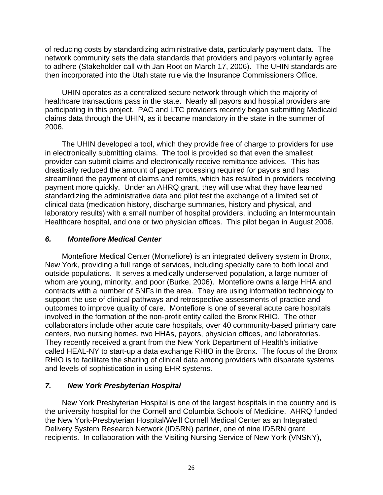of reducing costs by standardizing administrative data, particularly payment data. The network community sets the data standards that providers and payors voluntarily agree to adhere (Stakeholder call with Jan Root on March 17, 2006). The UHIN standards are then incorporated into the Utah state rule via the Insurance Commissioners Office.

UHIN operates as a centralized secure network through which the majority of healthcare transactions pass in the state. Nearly all payors and hospital providers are participating in this project. PAC and LTC providers recently began submitting Medicaid claims data through the UHIN, as it became mandatory in the state in the summer of 2006.

The UHIN developed a tool, which they provide free of charge to providers for use in electronically submitting claims. The tool is provided so that even the smallest provider can submit claims and electronically receive remittance advices. This has drastically reduced the amount of paper processing required for payors and has streamlined the payment of claims and remits, which has resulted in providers receiving payment more quickly. Under an AHRQ grant, they will use what they have learned standardizing the administrative data and pilot test the exchange of a limited set of clinical data (medication history, discharge summaries, history and physical, and laboratory results) with a small number of hospital providers, including an Intermountain Healthcare hospital, and one or two physician offices. This pilot began in August 2006.

#### *6. Montefiore Medical Center*

Montefiore Medical Center (Montefiore) is an integrated delivery system in Bronx, New York, providing a full range of services, including specialty care to both local and outside populations. It serves a medically underserved population, a large number of whom are young, minority, and poor (Burke, 2006). Montefiore owns a large HHA and contracts with a number of SNFs in the area. They are using information technology to support the use of clinical pathways and retrospective assessments of practice and outcomes to improve quality of care. Montefiore is one of several acute care hospitals involved in the formation of the non-profit entity called the Bronx RHIO. The other collaborators include other acute care hospitals, over 40 community-based primary care centers, two nursing homes, two HHAs, payors, physician offices, and laboratories. They recently received a grant from the New York Department of Health's initiative called HEAL-NY to start-up a data exchange RHIO in the Bronx. The focus of the Bronx RHIO is to facilitate the sharing of clinical data among providers with disparate systems and levels of sophistication in using EHR systems.

#### *7. New York Presbyterian Hospital*

New York Presbyterian Hospital is one of the largest hospitals in the country and is the university hospital for the Cornell and Columbia Schools of Medicine. AHRQ funded the New York-Presbyterian Hospital/Weill Cornell Medical Center as an Integrated Delivery System Research Network (IDSRN) partner, one of nine IDSRN grant recipients. In collaboration with the Visiting Nursing Service of New York (VNSNY),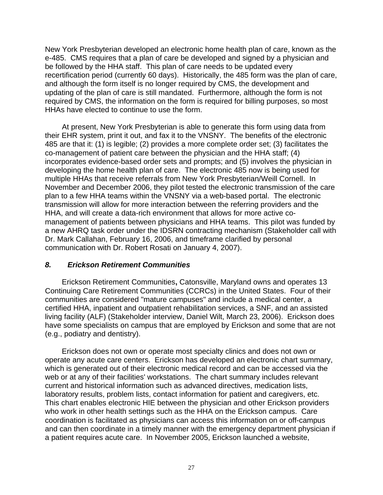New York Presbyterian developed an electronic home health plan of care, known as the e-485. CMS requires that a plan of care be developed and signed by a physician and be followed by the HHA staff. This plan of care needs to be updated every recertification period (currently 60 days). Historically, the 485 form was the plan of care, and although the form itself is no longer required by CMS, the development and updating of the plan of care is still mandated. Furthermore, although the form is not required by CMS, the information on the form is required for billing purposes, so most HHAs have elected to continue to use the form.

At present, New York Presbyterian is able to generate this form using data from their EHR system, print it out, and fax it to the VNSNY. The benefits of the electronic 485 are that it: (1) is legible; (2) provides a more complete order set; (3) facilitates the co-management of patient care between the physician and the HHA staff; (4) incorporates evidence-based order sets and prompts; and (5) involves the physician in developing the home health plan of care. The electronic 485 now is being used for multiple HHAs that receive referrals from New York Presbyterian/Weill Cornell. In November and December 2006, they pilot tested the electronic transmission of the care plan to a few HHA teams within the VNSNY via a web-based portal. The electronic transmission will allow for more interaction between the referring providers and the HHA, and will create a data-rich environment that allows for more active comanagement of patients between physicians and HHA teams. This pilot was funded by a new AHRQ task order under the IDSRN contracting mechanism (Stakeholder call with Dr. Mark Callahan, February 16, 2006, and timeframe clarified by personal communication with Dr. Robert Rosati on January 4, 2007).

#### *8. Erickson Retirement Communities*

Erickson Retirement Communities**,** Catonsville, Maryland owns and operates 13 Continuing Care Retirement Communities (CCRCs) in the United States. Four of their communities are considered "mature campuses" and include a medical center, a certified HHA, inpatient and outpatient rehabilitation services, a SNF, and an assisted living facility (ALF) (Stakeholder interview, Daniel Wilt, March 23, 2006). Erickson does have some specialists on campus that are employed by Erickson and some that are not (e.g., podiatry and dentistry).

Erickson does not own or operate most specialty clinics and does not own or operate any acute care centers. Erickson has developed an electronic chart summary, which is generated out of their electronic medical record and can be accessed via the web or at any of their facilities' workstations. The chart summary includes relevant current and historical information such as advanced directives, medication lists, laboratory results, problem lists, contact information for patient and caregivers, etc. This chart enables electronic HIE between the physician and other Erickson providers who work in other health settings such as the HHA on the Erickson campus. Care coordination is facilitated as physicians can access this information on or off-campus and can then coordinate in a timely manner with the emergency department physician if a patient requires acute care. In November 2005, Erickson launched a website,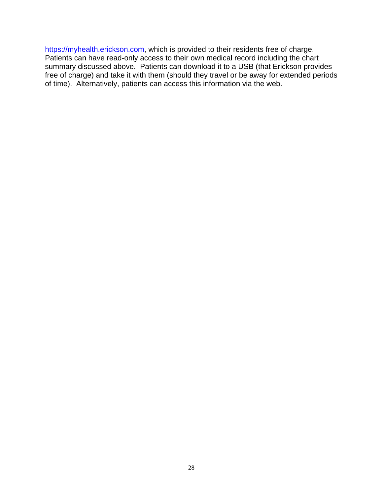[https://myhealth.erickson.com,](https://myhealth.erickson.com/) which is provided to their residents free of charge. Patients can have read-only access to their own medical record including the chart summary discussed above. Patients can download it to a USB (that Erickson provides free of charge) and take it with them (should they travel or be away for extended periods of time). Alternatively, patients can access this information via the web.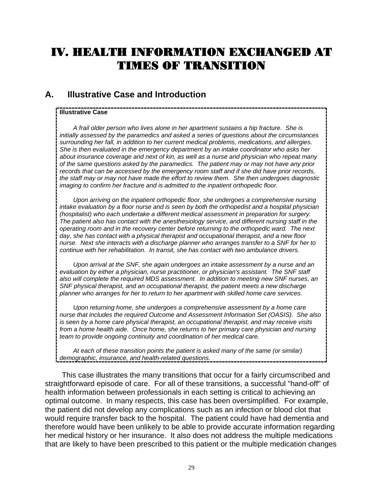# IV. HEALTH INFORMATION EXCHANGED AT TIMES OF TRANSITION

# **A. Illustrative Case and Introduction**

#### **Illustrative Case**

*A frail older person who lives alone in her apartment sustains a hip fracture. She is initially assessed by the paramedics and asked a series of questions about the circumstances surrounding her fall, in addition to her current medical problems, medications, and allergies. She is then evaluated in the emergency department by an intake coordinator who asks her about insurance coverage and next of kin, as well as a nurse and physician who repeat many of the same questions asked by the paramedics. The patient may or may not have any prior records that can be accessed by the emergency room staff and if she did have prior records, the staff may or may not have made the effort to review them. She then undergoes diagnostic imaging to confirm her fracture and is admitted to the inpatient orthopedic floor.* 

*Upon arriving on the inpatient orthopedic floor, she undergoes a comprehensive nursing intake evaluation by a floor nurse and is seen by both the orthopedist and a hospital physician (hospitalist) who each undertake a different medical assessment in preparation for surgery. The patient also has contact with the anesthesiology service, and different nursing staff in the operating room and in the recovery center before returning to the orthopedic ward. The next*  day, she has contact with a physical therapist and occupational therapist, and a new floor *nurse. Next she interacts with a discharge planner who arranges transfer to a SNF for her to continue with her rehabilitation. In transit, she has contact with two ambulance drivers.* 

*Upon arrival at the SNF, she again undergoes an intake assessment by a nurse and an evaluation by either a physician, nurse practitioner, or physician's assistant. The SNF staff also will complete the required MDS assessment. In addition to meeting new SNF nurses, an SNF physical therapist, and an occupational therapist, the patient meets a new discharge planner who arranges for her to return to her apartment with skilled home care services.* 

*Upon returning home, she undergoes a comprehensive assessment by a home care nurse that includes the required Outcome and Assessment Information Set (OASIS). She also is seen by a home care physical therapist, an occupational therapist, and may receive visits from a home health aide. Once home, she returns to her primary care physician and nursing team to provide ongoing continuity and coordination of her medical care.* 

*At each of these transition points the patient is asked many of the same (or similar) demographic, insurance, and health-related questions.* 

This case illustrates the many transitions that occur for a fairly circumscribed and straightforward episode of care. For all of these transitions, a successful "hand-off" of health information between professionals in each setting is critical to achieving an optimal outcome. In many respects, this case has been oversimplified. For example, the patient did not develop any complications such as an infection or blood clot that would require transfer back to the hospital. The patient could have had dementia and therefore would have been unlikely to be able to provide accurate information regarding her medical history or her insurance. It also does not address the multiple medications that are likely to have been prescribed to this patient or the multiple medication changes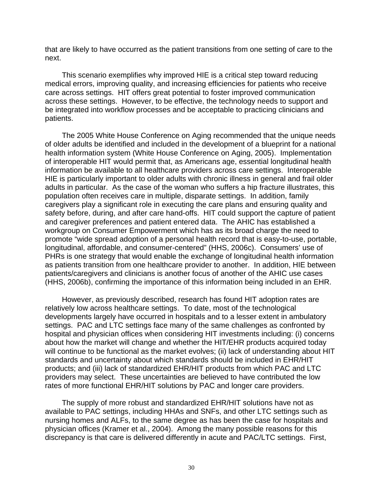that are likely to have occurred as the patient transitions from one setting of care to the next.

This scenario exemplifies why improved HIE is a critical step toward reducing medical errors, improving quality, and increasing efficiencies for patients who receive care across settings. HIT offers great potential to foster improved communication across these settings. However, to be effective, the technology needs to support and be integrated into workflow processes and be acceptable to practicing clinicians and patients.

The 2005 White House Conference on Aging recommended that the unique needs of older adults be identified and included in the development of a blueprint for a national health information system (White House Conference on Aging, 2005). Implementation of interoperable HIT would permit that, as Americans age, essential longitudinal health information be available to all healthcare providers across care settings. Interoperable HIE is particularly important to older adults with chronic illness in general and frail older adults in particular. As the case of the woman who suffers a hip fracture illustrates, this population often receives care in multiple, disparate settings. In addition, family caregivers play a significant role in executing the care plans and ensuring quality and safety before, during, and after care hand-offs. HIT could support the capture of patient and caregiver preferences and patient entered data. The AHIC has established a workgroup on Consumer Empowerment which has as its broad charge the need to promote "wide spread adoption of a personal health record that is easy-to-use, portable, longitudinal, affordable, and consumer-centered" (HHS, 2006c). Consumers' use of PHRs is one strategy that would enable the exchange of longitudinal health information as patients transition from one healthcare provider to another. In addition, HIE between patients/caregivers and clinicians is another focus of another of the AHIC use cases (HHS, 2006b), confirming the importance of this information being included in an EHR.

However, as previously described, research has found HIT adoption rates are relatively low across healthcare settings. To date, most of the technological developments largely have occurred in hospitals and to a lesser extent in ambulatory settings. PAC and LTC settings face many of the same challenges as confronted by hospital and physician offices when considering HIT investments including: (i) concerns about how the market will change and whether the HIT/EHR products acquired today will continue to be functional as the market evolves; (ii) lack of understanding about HIT standards and uncertainty about which standards should be included in EHR/HIT products; and (iii) lack of standardized EHR/HIT products from which PAC and LTC providers may select. These uncertainties are believed to have contributed the low rates of more functional EHR/HIT solutions by PAC and longer care providers.

The supply of more robust and standardized EHR/HIT solutions have not as available to PAC settings, including HHAs and SNFs, and other LTC settings such as nursing homes and ALFs, to the same degree as has been the case for hospitals and physician offices (Kramer et al., 2004). Among the many possible reasons for this discrepancy is that care is delivered differently in acute and PAC/LTC settings. First,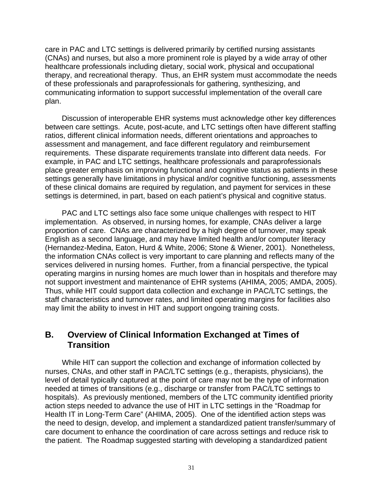care in PAC and LTC settings is delivered primarily by certified nursing assistants (CNAs) and nurses, but also a more prominent role is played by a wide array of other healthcare professionals including dietary, social work, physical and occupational therapy, and recreational therapy. Thus, an EHR system must accommodate the needs of these professionals and paraprofessionals for gathering, synthesizing, and communicating information to support successful implementation of the overall care plan.

Discussion of interoperable EHR systems must acknowledge other key differences between care settings. Acute, post-acute, and LTC settings often have different staffing ratios, different clinical information needs, different orientations and approaches to assessment and management, and face different regulatory and reimbursement requirements. These disparate requirements translate into different data needs. For example, in PAC and LTC settings, healthcare professionals and paraprofessionals place greater emphasis on improving functional and cognitive status as patients in these settings generally have limitations in physical and/or cognitive functioning, assessments of these clinical domains are required by regulation, and payment for services in these settings is determined, in part, based on each patient's physical and cognitive status.

PAC and LTC settings also face some unique challenges with respect to HIT implementation. As observed, in nursing homes, for example, CNAs deliver a large proportion of care. CNAs are characterized by a high degree of turnover, may speak English as a second language, and may have limited health and/or computer literacy (Hernandez-Medina, Eaton, Hurd & White, 2006; Stone & Wiener, 2001). Nonetheless, the information CNAs collect is very important to care planning and reflects many of the services delivered in nursing homes. Further, from a financial perspective, the typical operating margins in nursing homes are much lower than in hospitals and therefore may not support investment and maintenance of EHR systems (AHIMA, 2005; AMDA, 2005). Thus, while HIT could support data collection and exchange in PAC/LTC settings, the staff characteristics and turnover rates, and limited operating margins for facilities also may limit the ability to invest in HIT and support ongoing training costs.

## **B. Overview of Clinical Information Exchanged at Times of Transition**

While HIT can support the collection and exchange of information collected by nurses, CNAs, and other staff in PAC/LTC settings (e.g., therapists, physicians), the level of detail typically captured at the point of care may not be the type of information needed at times of transitions (e.g., discharge or transfer from PAC/LTC settings to hospitals). As previously mentioned, members of the LTC community identified priority action steps needed to advance the use of HIT in LTC settings in the "Roadmap for Health IT in Long-Term Care" (AHIMA, 2005). One of the identified action steps was the need to design, develop, and implement a standardized patient transfer/summary of care document to enhance the coordination of care across settings and reduce risk to the patient. The Roadmap suggested starting with developing a standardized patient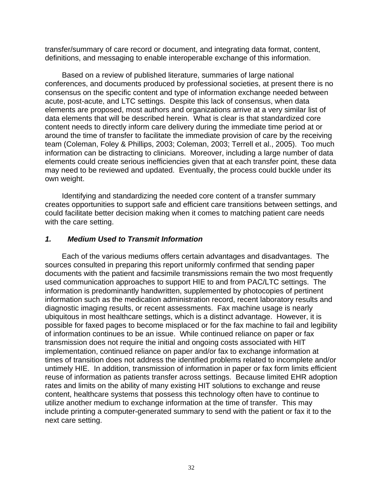transfer/summary of care record or document, and integrating data format, content, definitions, and messaging to enable interoperable exchange of this information.

Based on a review of published literature, summaries of large national conferences, and documents produced by professional societies, at present there is no consensus on the specific content and type of information exchange needed between acute, post-acute, and LTC settings. Despite this lack of consensus, when data elements are proposed, most authors and organizations arrive at a very similar list of data elements that will be described herein. What is clear is that standardized core content needs to directly inform care delivery during the immediate time period at or around the time of transfer to facilitate the immediate provision of care by the receiving team (Coleman, Foley & Phillips, 2003; Coleman, 2003; Terrell et al., 2005). Too much information can be distracting to clinicians. Moreover, including a large number of data elements could create serious inefficiencies given that at each transfer point, these data may need to be reviewed and updated. Eventually, the process could buckle under its own weight.

Identifying and standardizing the needed core content of a transfer summary creates opportunities to support safe and efficient care transitions between settings, and could facilitate better decision making when it comes to matching patient care needs with the care setting.

#### *1. Medium Used to Transmit Information*

Each of the various mediums offers certain advantages and disadvantages. The sources consulted in preparing this report uniformly confirmed that sending paper documents with the patient and facsimile transmissions remain the two most frequently used communication approaches to support HIE to and from PAC/LTC settings. The information is predominantly handwritten, supplemented by photocopies of pertinent information such as the medication administration record, recent laboratory results and diagnostic imaging results, or recent assessments. Fax machine usage is nearly ubiquitous in most healthcare settings, which is a distinct advantage. However, it is possible for faxed pages to become misplaced or for the fax machine to fail and legibility of information continues to be an issue. While continued reliance on paper or fax transmission does not require the initial and ongoing costs associated with HIT implementation, continued reliance on paper and/or fax to exchange information at times of transition does not address the identified problems related to incomplete and/or untimely HIE. In addition, transmission of information in paper or fax form limits efficient reuse of information as patients transfer across settings. Because limited EHR adoption rates and limits on the ability of many existing HIT solutions to exchange and reuse content, healthcare systems that possess this technology often have to continue to utilize another medium to exchange information at the time of transfer. This may include printing a computer-generated summary to send with the patient or fax it to the next care setting.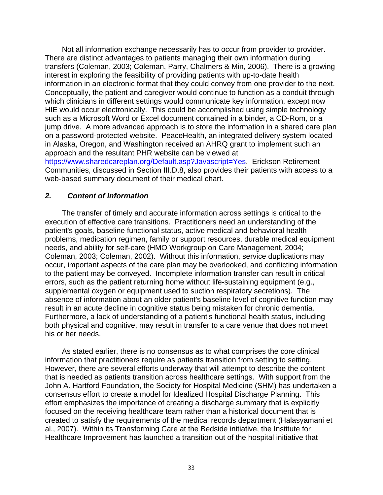Not all information exchange necessarily has to occur from provider to provider. There are distinct advantages to patients managing their own information during transfers (Coleman, 2003; Coleman, Parry, Chalmers & Min, 2006). There is a growing interest in exploring the feasibility of providing patients with up-to-date health information in an electronic format that they could convey from one provider to the next. Conceptually, the patient and caregiver would continue to function as a conduit through which clinicians in different settings would communicate key information, except now HIE would occur electronically. This could be accomplished using simple technology such as a Microsoft Word or Excel document contained in a binder, a CD-Rom, or a jump drive. A more advanced approach is to store the information in a shared care plan on a password-protected website. PeaceHealth, an integrated delivery system located in Alaska, Oregon, and Washington received an AHRQ grant to implement such an approach and the resultant PHR website can be viewed at

<https://www.sharedcareplan.org/Default.asp?Javascript=Yes>. Erickson Retirement Communities, discussed in Section III.D.8, also provides their patients with access to a web-based summary document of their medical chart.

#### *2. Content of Information*

The transfer of timely and accurate information across settings is critical to the execution of effective care transitions. Practitioners need an understanding of the patient's goals, baseline functional status, active medical and behavioral health problems, medication regimen, family or support resources, durable medical equipment needs, and ability for self-care (HMO Workgroup on Care Management, 2004; Coleman, 2003; Coleman, 2002). Without this information, service duplications may occur, important aspects of the care plan may be overlooked, and conflicting information to the patient may be conveyed. Incomplete information transfer can result in critical errors, such as the patient returning home without life-sustaining equipment (e.g., supplemental oxygen or equipment used to suction respiratory secretions). The absence of information about an older patient's baseline level of cognitive function may result in an acute decline in cognitive status being mistaken for chronic dementia. Furthermore, a lack of understanding of a patient's functional health status, including both physical and cognitive, may result in transfer to a care venue that does not meet his or her needs.

As stated earlier, there is no consensus as to what comprises the core clinical information that practitioners require as patients transition from setting to setting. However, there are several efforts underway that will attempt to describe the content that is needed as patients transition across healthcare settings. With support from the John A. Hartford Foundation, the Society for Hospital Medicine (SHM) has undertaken a consensus effort to create a model for Idealized Hospital Discharge Planning. This effort emphasizes the importance of creating a discharge summary that is explicitly focused on the receiving healthcare team rather than a historical document that is created to satisfy the requirements of the medical records department (Halasyamani et al., 2007). Within its Transforming Care at the Bedside initiative, the Institute for Healthcare Improvement has launched a transition out of the hospital initiative that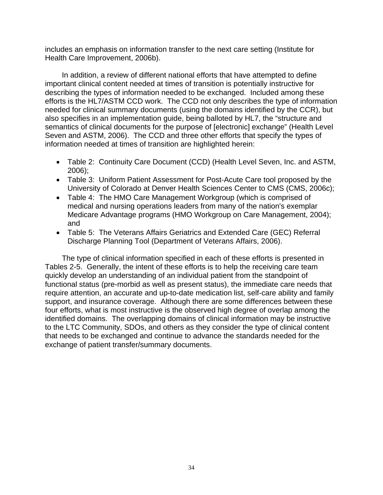includes an emphasis on information transfer to the next care setting (Institute for Health Care Improvement, 2006b).

In addition, a review of different national efforts that have attempted to define important clinical content needed at times of transition is potentially instructive for describing the types of information needed to be exchanged. Included among these efforts is the HL7/ASTM CCD work. The CCD not only describes the type of information needed for clinical summary documents (using the domains identified by the CCR), but also specifies in an implementation guide, being balloted by HL7, the "structure and semantics of clinical documents for the purpose of [electronic] exchange" (Health Level Seven and ASTM, 2006). The CCD and three other efforts that specify the types of information needed at times of transition are highlighted herein:

- Table 2: Continuity Care Document (CCD) (Health Level Seven, Inc. and ASTM, 2006);
- Table 3: Uniform Patient Assessment for Post-Acute Care tool proposed by the University of Colorado at Denver Health Sciences Center to CMS (CMS, 2006c);
- Table 4: The HMO Care Management Workgroup (which is comprised of medical and nursing operations leaders from many of the nation's exemplar Medicare Advantage programs (HMO Workgroup on Care Management, 2004); and
- Table 5: The Veterans Affairs Geriatrics and Extended Care (GEC) Referral Discharge Planning Tool (Department of Veterans Affairs, 2006).

The type of clinical information specified in each of these efforts is presented in Tables 2-5. Generally, the intent of these efforts is to help the receiving care team quickly develop an understanding of an individual patient from the standpoint of functional status (pre-morbid as well as present status), the immediate care needs that require attention, an accurate and up-to-date medication list, self-care ability and family support, and insurance coverage. Although there are some differences between these four efforts, what is most instructive is the observed high degree of overlap among the identified domains. The overlapping domains of clinical information may be instructive to the LTC Community, SDOs, and others as they consider the type of clinical content that needs to be exchanged and continue to advance the standards needed for the exchange of patient transfer/summary documents.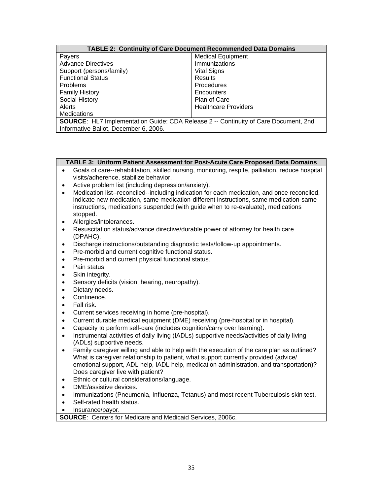#### **TABLE 2: Continuity of Care Document Recommended Data Domains**

| Payers                                                                                     | <b>Medical Equipment</b>    |  |  |
|--------------------------------------------------------------------------------------------|-----------------------------|--|--|
| <b>Advance Directives</b>                                                                  | Immunizations               |  |  |
| Support (persons/family)                                                                   | <b>Vital Signs</b>          |  |  |
| <b>Functional Status</b>                                                                   | Results                     |  |  |
| <b>Problems</b>                                                                            | Procedures                  |  |  |
| <b>Family History</b>                                                                      | Encounters                  |  |  |
| Social History                                                                             | Plan of Care                |  |  |
| Alerts                                                                                     | <b>Healthcare Providers</b> |  |  |
| <b>Medications</b>                                                                         |                             |  |  |
| <b>SOURCE:</b> HL7 Implementation Guide: CDA Release 2 -- Continuity of Care Document, 2nd |                             |  |  |

Informative Ballot, December 6, 2006.

#### **TABLE 3: Uniform Patient Assessment for Post-Acute Care Proposed Data Domains**

- Goals of care--rehabilitation, skilled nursing, monitoring, respite, palliation, reduce hospital visits/adherence, stabilize behavior.
- Active problem list (including depression/anxiety).
- Medication list--reconciled--including indication for each medication, and once reconciled, indicate new medication, same medication-different instructions, same medication-same instructions, medications suspended (with guide when to re-evaluate), medications stopped.
- Allergies/intolerances.
- Resuscitation status/advance directive/durable power of attorney for health care (DPAHC).
- Discharge instructions/outstanding diagnostic tests/follow-up appointments.
- Pre-morbid and current cognitive functional status.
- Pre-morbid and current physical functional status.
- Pain status.
- Skin integrity.
- Sensory deficits (vision, hearing, neuropathy).
- Dietary needs.
- Continence.
- Fall risk.
- Current services receiving in home (pre-hospital).
- Current durable medical equipment (DME) receiving (pre-hospital or in hospital).
- Capacity to perform self-care (includes cognition/carry over learning).
- Instrumental activities of daily living (IADLs) supportive needs/activities of daily living (ADLs) supportive needs.
- Family caregiver willing and able to help with the execution of the care plan as outlined? What is caregiver relationship to patient, what support currently provided (advice/ emotional support, ADL help, IADL help, medication administration, and transportation)? Does caregiver live with patient?
- Ethnic or cultural considerations/language.
- DME/assistive devices.
- Immunizations (Pneumonia, Influenza, Tetanus) and most recent Tuberculosis skin test.
- Self-rated health status.
- Insurance/payor.

**SOURCE**: Centers for Medicare and Medicaid Services, 2006c.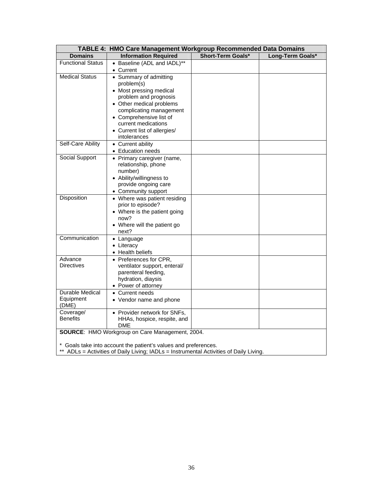| TABLE 4: HMO Care Management Workgroup Recommended Data Domains |                                                                                                                                                                                                                                                   |                   |                  |  |
|-----------------------------------------------------------------|---------------------------------------------------------------------------------------------------------------------------------------------------------------------------------------------------------------------------------------------------|-------------------|------------------|--|
| <b>Domains</b>                                                  | <b>Information Required</b>                                                                                                                                                                                                                       | Short-Term Goals* | Long-Term Goals* |  |
| <b>Functional Status</b>                                        | • Baseline (ADL and IADL)**<br>• Current                                                                                                                                                                                                          |                   |                  |  |
| <b>Medical Status</b>                                           | • Summary of admitting<br>problem(s)<br>• Most pressing medical<br>problem and prognosis<br>• Other medical problems<br>complicating management<br>• Comprehensive list of<br>current medications<br>• Current list of allergies/<br>intolerances |                   |                  |  |
| Self-Care Ability                                               | • Current ability<br>• Education needs                                                                                                                                                                                                            |                   |                  |  |
| Social Support                                                  | • Primary caregiver (name,<br>relationship, phone<br>number)<br>• Ability/willingness to<br>provide ongoing care<br>• Community support                                                                                                           |                   |                  |  |
| Disposition                                                     | • Where was patient residing<br>prior to episode?<br>• Where is the patient going<br>now?<br>• Where will the patient go<br>next?                                                                                                                 |                   |                  |  |
| Communication                                                   | • Language<br>• Literacy<br>• Health beliefs                                                                                                                                                                                                      |                   |                  |  |
| Advance<br><b>Directives</b>                                    | • Preferences for CPR,<br>ventilator support, enteral/<br>parenteral feeding,<br>hydration, diaysis<br>• Power of attorney                                                                                                                        |                   |                  |  |
| <b>Durable Medical</b><br>Equipment<br>(DME)                    | • Current needs<br>• Vendor name and phone                                                                                                                                                                                                        |                   |                  |  |
| Coverage/<br><b>Benefits</b>                                    | • Provider network for SNFs,<br>HHAs, hospice, respite, and<br>DME                                                                                                                                                                                |                   |                  |  |
| SOURCE: HMO Workgroup on Care Management, 2004.                 |                                                                                                                                                                                                                                                   |                   |                  |  |
|                                                                 | * Goals take into account the patient's values and preferences.                                                                                                                                                                                   |                   |                  |  |

\*\* ADLs = Activities of Daily Living; IADLs = Instrumental Activities of Daily Living.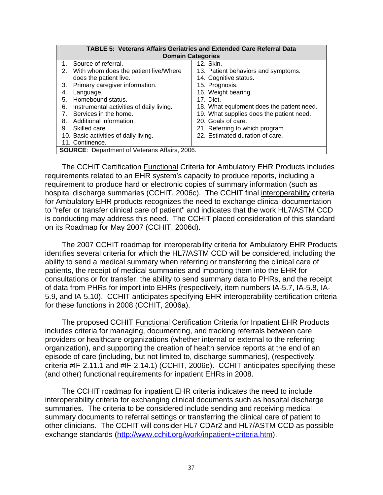| <b>TABLE 5: Veterans Affairs Geriatrics and Extended Care Referral Data</b> |                                           |  |  |  |  |
|-----------------------------------------------------------------------------|-------------------------------------------|--|--|--|--|
| <b>Domain Categories</b>                                                    |                                           |  |  |  |  |
| 1. Source of referral.                                                      | 12. Skin.                                 |  |  |  |  |
| 2. With whom does the patient live/Where                                    | 13. Patient behaviors and symptoms.       |  |  |  |  |
| does the patient live.                                                      | 14. Cognitive status.                     |  |  |  |  |
| Primary caregiver information.<br>3.                                        | 15. Prognosis.                            |  |  |  |  |
| 4.<br>Language.                                                             | 16. Weight bearing.                       |  |  |  |  |
| Homebound status.<br>5.                                                     | 17. Diet.                                 |  |  |  |  |
| 6.<br>Instrumental activities of daily living.                              | 18. What equipment does the patient need. |  |  |  |  |
| 7. Services in the home.                                                    | 19. What supplies does the patient need.  |  |  |  |  |
| Additional information.<br>8.                                               | 20. Goals of care.                        |  |  |  |  |
| 9. Skilled care.                                                            | 21. Referring to which program.           |  |  |  |  |
| 10. Basic activities of daily living.                                       | 22. Estimated duration of care.           |  |  |  |  |
| 11. Continence.                                                             |                                           |  |  |  |  |
| <b>SOURCE:</b> Department of Veterans Affairs, 2006.                        |                                           |  |  |  |  |

The CCHIT Certification **Functional Criteria for Ambulatory EHR Products includes** requirements related to an EHR system's capacity to produce reports, including a requirement to produce hard or electronic copies of summary information (such as hospital discharge summaries (CCHIT, 2006c). The CCHIT final interoperability criteria for Ambulatory EHR products recognizes the need to exchange clinical documentation to "refer or transfer clinical care of patient" and indicates that the work HL7/ASTM CCD is conducting may address this need. The CCHIT placed consideration of this standard on its Roadmap for May 2007 (CCHIT, 2006d).

The 2007 CCHIT roadmap for interoperability criteria for Ambulatory EHR Products identifies several criteria for which the HL7/ASTM CCD will be considered, including the ability to send a medical summary when referring or transferring the clinical care of patients, the receipt of medical summaries and importing them into the EHR for consultations or for transfer, the ability to send summary data to PHRs, and the receipt of data from PHRs for import into EHRs (respectively, item numbers IA-5.7, IA-5.8, IA-5.9, and IA-5.10). CCHIT anticipates specifying EHR interoperability certification criteria for these functions in 2008 (CCHIT, 2006a).

The proposed CCHIT Functional Certification Criteria for Inpatient EHR Products includes criteria for managing, documenting, and tracking referrals between care providers or healthcare organizations (whether internal or external to the referring organization), and supporting the creation of health service reports at the end of an episode of care (including, but not limited to, discharge summaries), (respectively, criteria #IF-2.11.1 and #IF-2.14.1) (CCHIT, 2006e). CCHIT anticipates specifying these (and other) functional requirements for inpatient EHRs in 2008.

The CCHIT roadmap for inpatient EHR criteria indicates the need to include interoperability criteria for exchanging clinical documents such as hospital discharge summaries. The criteria to be considered include sending and receiving medical summary documents to referral settings or transferring the clinical care of patient to other clinicians. The CCHIT will consider HL7 CDAr2 and HL7/ASTM CCD as possible exchange standards [\(http://www.cchit.org/work/inpatient+criteria.htm\)](http://www.cchit.org/work/inpatient+criteria.htm).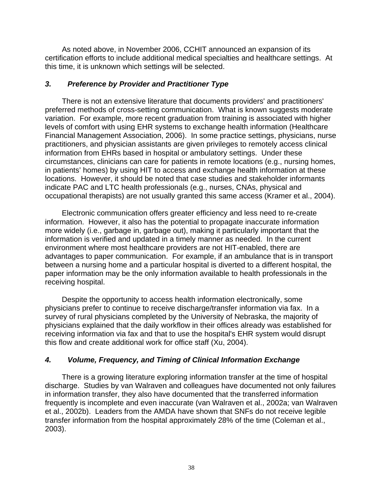As noted above, in November 2006, CCHIT announced an expansion of its certification efforts to include additional medical specialties and healthcare settings. At this time, it is unknown which settings will be selected.

#### *3. Preference by Provider and Practitioner Type*

There is not an extensive literature that documents providers' and practitioners' preferred methods of cross-setting communication. What is known suggests moderate variation. For example, more recent graduation from training is associated with higher levels of comfort with using EHR systems to exchange health information (Healthcare Financial Management Association, 2006). In some practice settings, physicians, nurse practitioners, and physician assistants are given privileges to remotely access clinical information from EHRs based in hospital or ambulatory settings. Under these circumstances, clinicians can care for patients in remote locations (e.g., nursing homes, in patients' homes) by using HIT to access and exchange health information at these locations. However, it should be noted that case studies and stakeholder informants indicate PAC and LTC health professionals (e.g., nurses, CNAs, physical and occupational therapists) are not usually granted this same access (Kramer et al., 2004).

Electronic communication offers greater efficiency and less need to re-create information. However, it also has the potential to propagate inaccurate information more widely (i.e., garbage in, garbage out), making it particularly important that the information is verified and updated in a timely manner as needed. In the current environment where most healthcare providers are not HIT-enabled, there are advantages to paper communication. For example, if an ambulance that is in transport between a nursing home and a particular hospital is diverted to a different hospital, the paper information may be the only information available to health professionals in the receiving hospital.

Despite the opportunity to access health information electronically, some physicians prefer to continue to receive discharge/transfer information via fax. In a survey of rural physicians completed by the University of Nebraska, the majority of physicians explained that the daily workflow in their offices already was established for receiving information via fax and that to use the hospital's EHR system would disrupt this flow and create additional work for office staff (Xu, 2004).

#### *4. Volume, Frequency, and Timing of Clinical Information Exchange*

There is a growing literature exploring information transfer at the time of hospital discharge. Studies by van Walraven and colleagues have documented not only failures in information transfer, they also have documented that the transferred information frequently is incomplete and even inaccurate (van Walraven et al., 2002a; van Walraven et al., 2002b). Leaders from the AMDA have shown that SNFs do not receive legible transfer information from the hospital approximately 28% of the time (Coleman et al., 2003).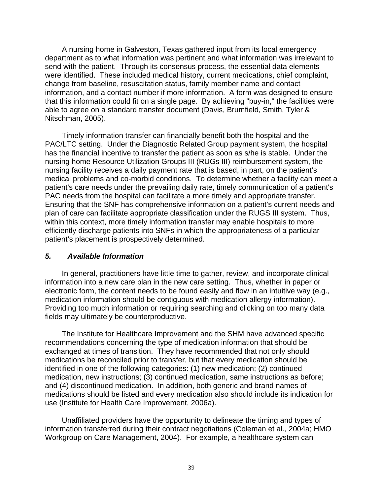A nursing home in Galveston, Texas gathered input from its local emergency department as to what information was pertinent and what information was irrelevant to send with the patient. Through its consensus process, the essential data elements were identified. These included medical history, current medications, chief complaint, change from baseline, resuscitation status, family member name and contact information, and a contact number if more information. A form was designed to ensure that this information could fit on a single page. By achieving "buy-in," the facilities were able to agree on a standard transfer document (Davis, Brumfield, Smith, Tyler & Nitschman, 2005).

Timely information transfer can financially benefit both the hospital and the PAC/LTC setting. Under the Diagnostic Related Group payment system, the hospital has the financial incentive to transfer the patient as soon as s/he is stable. Under the nursing home Resource Utilization Groups III (RUGs III) reimbursement system, the nursing facility receives a daily payment rate that is based, in part, on the patient's medical problems and co-morbid conditions. To determine whether a facility can meet a patient's care needs under the prevailing daily rate, timely communication of a patient's PAC needs from the hospital can facilitate a more timely and appropriate transfer. Ensuring that the SNF has comprehensive information on a patient's current needs and plan of care can facilitate appropriate classification under the RUGS III system. Thus, within this context, more timely information transfer may enable hospitals to more efficiently discharge patients into SNFs in which the appropriateness of a particular patient's placement is prospectively determined.

#### *5. Available Information*

In general, practitioners have little time to gather, review, and incorporate clinical information into a new care plan in the new care setting. Thus, whether in paper or electronic form, the content needs to be found easily and flow in an intuitive way (e.g., medication information should be contiguous with medication allergy information). Providing too much information or requiring searching and clicking on too many data fields may ultimately be counterproductive.

The Institute for Healthcare Improvement and the SHM have advanced specific recommendations concerning the type of medication information that should be exchanged at times of transition. They have recommended that not only should medications be reconciled prior to transfer, but that every medication should be identified in one of the following categories: (1) new medication; (2) continued medication, new instructions; (3) continued medication, same instructions as before; and (4) discontinued medication. In addition, both generic and brand names of medications should be listed and every medication also should include its indication for use (Institute for Health Care Improvement, 2006a).

Unaffiliated providers have the opportunity to delineate the timing and types of information transferred during their contract negotiations (Coleman et al., 2004a; HMO Workgroup on Care Management, 2004). For example, a healthcare system can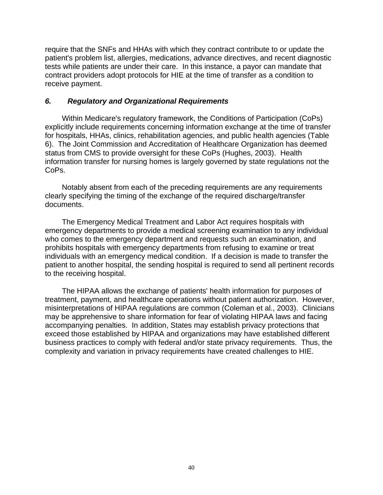require that the SNFs and HHAs with which they contract contribute to or update the patient's problem list, allergies, medications, advance directives, and recent diagnostic tests while patients are under their care. In this instance, a payor can mandate that contract providers adopt protocols for HIE at the time of transfer as a condition to receive payment.

#### *6. Regulatory and Organizational Requirements*

Within Medicare's regulatory framework, the Conditions of Participation (CoPs) explicitly include requirements concerning information exchange at the time of transfer for hospitals, HHAs, clinics, rehabilitation agencies, and public health agencies (Table 6). The Joint Commission and Accreditation of Healthcare Organization has deemed status from CMS to provide oversight for these CoPs (Hughes, 2003). Health information transfer for nursing homes is largely governed by state regulations not the CoPs.

Notably absent from each of the preceding requirements are any requirements clearly specifying the timing of the exchange of the required discharge/transfer documents.

The Emergency Medical Treatment and Labor Act requires hospitals with emergency departments to provide a medical screening examination to any individual who comes to the emergency department and requests such an examination, and prohibits hospitals with emergency departments from refusing to examine or treat individuals with an emergency medical condition. If a decision is made to transfer the patient to another hospital, the sending hospital is required to send all pertinent records to the receiving hospital.

The HIPAA allows the exchange of patients' health information for purposes of treatment, payment, and healthcare operations without patient authorization. However, misinterpretations of HIPAA regulations are common (Coleman et al., 2003). Clinicians may be apprehensive to share information for fear of violating HIPAA laws and facing accompanying penalties. In addition, States may establish privacy protections that exceed those established by HIPAA and organizations may have established different business practices to comply with federal and/or state privacy requirements. Thus, the complexity and variation in privacy requirements have created challenges to HIE.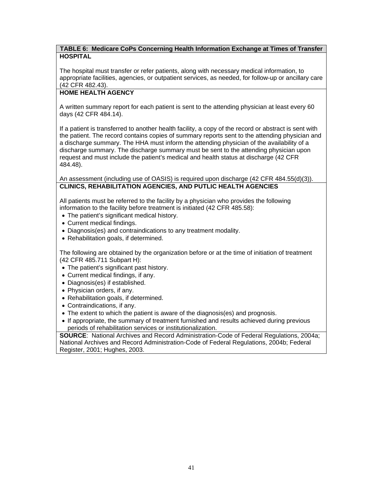#### **TABLE 6: Medicare CoPs Concerning Health Information Exchange at Times of Transfer HOSPITAL**

The hospital must transfer or refer patients, along with necessary medical information, to appropriate facilities, agencies, or outpatient services, as needed, for follow-up or ancillary care (42 CFR 482.43).

#### **HOME HEALTH AGENCY**

A written summary report for each patient is sent to the attending physician at least every 60 days (42 CFR 484.14).

If a patient is transferred to another health facility, a copy of the record or abstract is sent with the patient. The record contains copies of summary reports sent to the attending physician and a discharge summary. The HHA must inform the attending physician of the availability of a discharge summary. The discharge summary must be sent to the attending physician upon request and must include the patient's medical and health status at discharge (42 CFR 484.48).

An assessment (including use of OASIS) is required upon discharge (42 CFR 484.55(d)(3)). **CLINICS, REHABILITATION AGENCIES, AND PUTLIC HEALTH AGENCIES**

All patients must be referred to the facility by a physician who provides the following information to the facility before treatment is initiated (42 CFR 485.58):

- The patient's significant medical history.
- Current medical findings.
- Diagnosis(es) and contraindications to any treatment modality.
- Rehabilitation goals, if determined.

The following are obtained by the organization before or at the time of initiation of treatment (42 CFR 485.711 Subpart H):

- The patient's significant past history.
- Current medical findings, if any.
- Diagnosis(es) if established.
- Physician orders, if any.
- Rehabilitation goals, if determined.
- Contraindications, if any.
- The extent to which the patient is aware of the diagnosis(es) and prognosis.
- If appropriate, the summary of treatment furnished and results achieved during previous periods of rehabilitation services or institutionalization.

**SOURCE**: National Archives and Record Administration-Code of Federal Regulations, 2004a; National Archives and Record Administration-Code of Federal Regulations, 2004b; Federal Register, 2001; Hughes, 2003.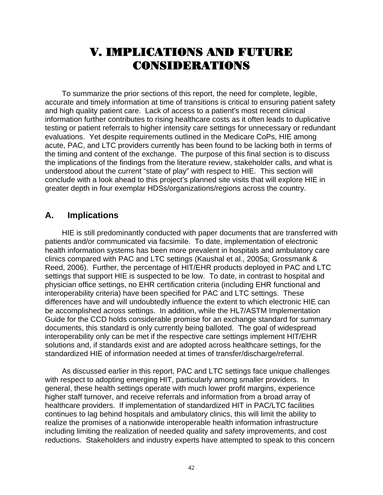# V. IMPLICATIONS AND FUTURE CONSIDERATIONS

To summarize the prior sections of this report, the need for complete, legible, accurate and timely information at time of transitions is critical to ensuring patient safety and high quality patient care. Lack of access to a patient's most recent clinical information further contributes to rising healthcare costs as it often leads to duplicative testing or patient referrals to higher intensity care settings for unnecessary or redundant evaluations. Yet despite requirements outlined in the Medicare CoPs, HIE among acute, PAC, and LTC providers currently has been found to be lacking both in terms of the timing and content of the exchange. The purpose of this final section is to discuss the implications of the findings from the literature review, stakeholder calls, and what is understood about the current "state of play" with respect to HIE. This section will conclude with a look ahead to this project's planned site visits that will explore HIE in greater depth in four exemplar HDSs/organizations/regions across the country.

## **A. Implications**

HIE is still predominantly conducted with paper documents that are transferred with patients and/or communicated via facsimile. To date, implementation of electronic health information systems has been more prevalent in hospitals and ambulatory care clinics compared with PAC and LTC settings (Kaushal et al., 2005a; Grossmank & Reed, 2006). Further, the percentage of HIT/EHR products deployed in PAC and LTC settings that support HIE is suspected to be low. To date, in contrast to hospital and physician office settings, no EHR certification criteria (including EHR functional and interoperability criteria) have been specified for PAC and LTC settings. These differences have and will undoubtedly influence the extent to which electronic HIE can be accomplished across settings. In addition, while the HL7/ASTM Implementation Guide for the CCD holds considerable promise for an exchange standard for summary documents, this standard is only currently being balloted. The goal of widespread interoperability only can be met if the respective care settings implement HIT/EHR solutions and, if standards exist and are adopted across healthcare settings, for the standardized HIE of information needed at times of transfer/discharge/referral.

As discussed earlier in this report, PAC and LTC settings face unique challenges with respect to adopting emerging HIT, particularly among smaller providers. In general, these health settings operate with much lower profit margins, experience higher staff turnover, and receive referrals and information from a broad array of healthcare providers. If implementation of standardized HIT in PAC/LTC facilities continues to lag behind hospitals and ambulatory clinics, this will limit the ability to realize the promises of a nationwide interoperable health information infrastructure including limiting the realization of needed quality and safety improvements, and cost reductions. Stakeholders and industry experts have attempted to speak to this concern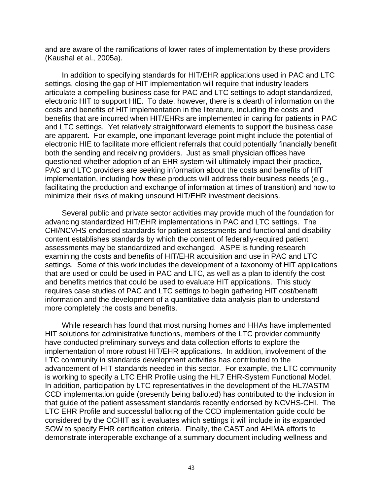and are aware of the ramifications of lower rates of implementation by these providers (Kaushal et al., 2005a).

In addition to specifying standards for HIT/EHR applications used in PAC and LTC settings, closing the gap of HIT implementation will require that industry leaders articulate a compelling business case for PAC and LTC settings to adopt standardized, electronic HIT to support HIE. To date, however, there is a dearth of information on the costs and benefits of HIT implementation in the literature, including the costs and benefits that are incurred when HIT/EHRs are implemented in caring for patients in PAC and LTC settings. Yet relatively straightforward elements to support the business case are apparent. For example, one important leverage point might include the potential of electronic HIE to facilitate more efficient referrals that could potentially financially benefit both the sending and receiving providers. Just as small physician offices have questioned whether adoption of an EHR system will ultimately impact their practice, PAC and LTC providers are seeking information about the costs and benefits of HIT implementation, including how these products will address their business needs (e.g., facilitating the production and exchange of information at times of transition) and how to minimize their risks of making unsound HIT/EHR investment decisions.

Several public and private sector activities may provide much of the foundation for advancing standardized HIT/EHR implementations in PAC and LTC settings. The CHI/NCVHS-endorsed standards for patient assessments and functional and disability content establishes standards by which the content of federally-required patient assessments may be standardized and exchanged. ASPE is funding research examining the costs and benefits of HIT/EHR acquisition and use in PAC and LTC settings. Some of this work includes the development of a taxonomy of HIT applications that are used or could be used in PAC and LTC, as well as a plan to identify the cost and benefits metrics that could be used to evaluate HIT applications. This study requires case studies of PAC and LTC settings to begin gathering HIT cost/benefit information and the development of a quantitative data analysis plan to understand more completely the costs and benefits.

While research has found that most nursing homes and HHAs have implemented HIT solutions for administrative functions, members of the LTC provider community have conducted preliminary surveys and data collection efforts to explore the implementation of more robust HIT/EHR applications. In addition, involvement of the LTC community in standards development activities has contributed to the advancement of HIT standards needed in this sector. For example, the LTC community is working to specify a LTC EHR Profile using the HL7 EHR-System Functional Model. In addition, participation by LTC representatives in the development of the HL7/ASTM CCD implementation guide (presently being balloted) has contributed to the inclusion in that guide of the patient assessment standards recently endorsed by NCVHS-CHI. The LTC EHR Profile and successful balloting of the CCD implementation guide could be considered by the CCHIT as it evaluates which settings it will include in its expanded SOW to specify EHR certification criteria. Finally, the CAST and AHIMA efforts to demonstrate interoperable exchange of a summary document including wellness and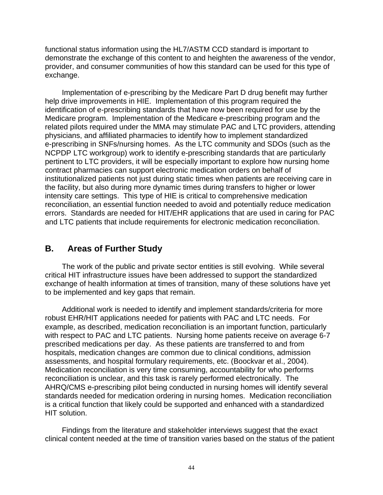functional status information using the HL7/ASTM CCD standard is important to demonstrate the exchange of this content to and heighten the awareness of the vendor, provider, and consumer communities of how this standard can be used for this type of exchange.

Implementation of e-prescribing by the Medicare Part D drug benefit may further help drive improvements in HIE. Implementation of this program required the identification of e-prescribing standards that have now been required for use by the Medicare program. Implementation of the Medicare e-prescribing program and the related pilots required under the MMA may stimulate PAC and LTC providers, attending physicians, and affiliated pharmacies to identify how to implement standardized e-prescribing in SNFs/nursing homes. As the LTC community and SDOs (such as the NCPDP LTC workgroup) work to identify e-prescribing standards that are particularly pertinent to LTC providers, it will be especially important to explore how nursing home contract pharmacies can support electronic medication orders on behalf of institutionalized patients not just during static times when patients are receiving care in the facility, but also during more dynamic times during transfers to higher or lower intensity care settings. This type of HIE is critical to comprehensive medication reconciliation, an essential function needed to avoid and potentially reduce medication errors. Standards are needed for HIT/EHR applications that are used in caring for PAC and LTC patients that include requirements for electronic medication reconciliation.

## **B. Areas of Further Study**

The work of the public and private sector entities is still evolving. While several critical HIT infrastructure issues have been addressed to support the standardized exchange of health information at times of transition, many of these solutions have yet to be implemented and key gaps that remain.

Additional work is needed to identify and implement standards/criteria for more robust EHR/HIT applications needed for patients with PAC and LTC needs. For example, as described, medication reconciliation is an important function, particularly with respect to PAC and LTC patients. Nursing home patients receive on average 6-7 prescribed medications per day. As these patients are transferred to and from hospitals, medication changes are common due to clinical conditions, admission assessments, and hospital formulary requirements, etc. (Boockvar et al., 2004). Medication reconciliation is very time consuming, accountability for who performs reconciliation is unclear, and this task is rarely performed electronically. The AHRQ/CMS e-prescribing pilot being conducted in nursing homes will identify several standards needed for medication ordering in nursing homes. Medication reconciliation is a critical function that likely could be supported and enhanced with a standardized HIT solution.

Findings from the literature and stakeholder interviews suggest that the exact clinical content needed at the time of transition varies based on the status of the patient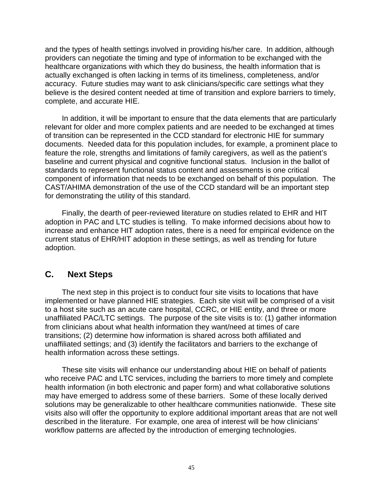and the types of health settings involved in providing his/her care. In addition, although providers can negotiate the timing and type of information to be exchanged with the healthcare organizations with which they do business, the health information that is actually exchanged is often lacking in terms of its timeliness, completeness, and/or accuracy. Future studies may want to ask clinicians/specific care settings what they believe is the desired content needed at time of transition and explore barriers to timely, complete, and accurate HIE.

In addition, it will be important to ensure that the data elements that are particularly relevant for older and more complex patients and are needed to be exchanged at times of transition can be represented in the CCD standard for electronic HIE for summary documents. Needed data for this population includes, for example, a prominent place to feature the role, strengths and limitations of family caregivers, as well as the patient's baseline and current physical and cognitive functional status. Inclusion in the ballot of standards to represent functional status content and assessments is one critical component of information that needs to be exchanged on behalf of this population. The CAST/AHIMA demonstration of the use of the CCD standard will be an important step for demonstrating the utility of this standard.

Finally, the dearth of peer-reviewed literature on studies related to EHR and HIT adoption in PAC and LTC studies is telling. To make informed decisions about how to increase and enhance HIT adoption rates, there is a need for empirical evidence on the current status of EHR/HIT adoption in these settings, as well as trending for future adoption.

## **C. Next Steps**

The next step in this project is to conduct four site visits to locations that have implemented or have planned HIE strategies. Each site visit will be comprised of a visit to a host site such as an acute care hospital, CCRC, or HIE entity, and three or more unaffiliated PAC/LTC settings. The purpose of the site visits is to: (1) gather information from clinicians about what health information they want/need at times of care transitions; (2) determine how information is shared across both affiliated and unaffiliated settings; and (3) identify the facilitators and barriers to the exchange of health information across these settings.

These site visits will enhance our understanding about HIE on behalf of patients who receive PAC and LTC services, including the barriers to more timely and complete health information (in both electronic and paper form) and what collaborative solutions may have emerged to address some of these barriers. Some of these locally derived solutions may be generalizable to other healthcare communities nationwide. These site visits also will offer the opportunity to explore additional important areas that are not well described in the literature. For example, one area of interest will be how clinicians' workflow patterns are affected by the introduction of emerging technologies.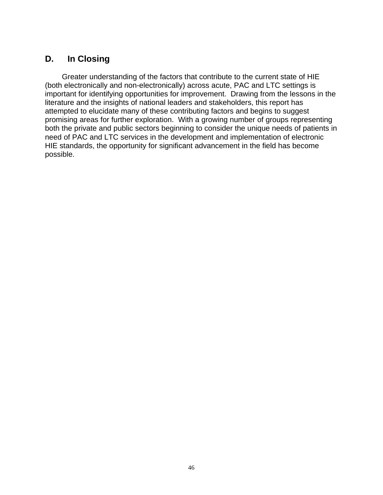# **D. In Closing**

Greater understanding of the factors that contribute to the current state of HIE (both electronically and non-electronically) across acute, PAC and LTC settings is important for identifying opportunities for improvement. Drawing from the lessons in the literature and the insights of national leaders and stakeholders, this report has attempted to elucidate many of these contributing factors and begins to suggest promising areas for further exploration. With a growing number of groups representing both the private and public sectors beginning to consider the unique needs of patients in need of PAC and LTC services in the development and implementation of electronic HIE standards, the opportunity for significant advancement in the field has become possible.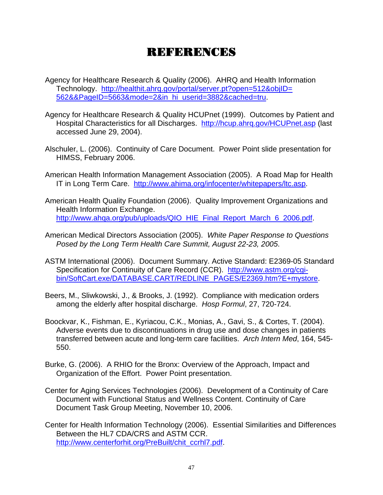# REFERENCES

- Agency for Healthcare Research & Quality (2006). AHRQ and Health Information Technology. [http://healthit.ahrq.gov/portal/server.pt?open=512&objID=](http://healthit.ahrq.gov/portal/server.pt?open=512&objID= 562&&PageID=5663&mode=2&in_hi_userid=3882&cached=tru)  [562&&PageID=5663&mode=2&in\\_hi\\_userid=3882&cached=tru](http://healthit.ahrq.gov/portal/server.pt?open=512&objID= 562&&PageID=5663&mode=2&in_hi_userid=3882&cached=tru).
- Agency for Healthcare Research & Quality HCUPnet (1999). Outcomes by Patient and Hospital Characteristics for all Discharges. <http://hcup.ahrq.gov/HCUPnet.asp>(last accessed June 29, 2004).
- Alschuler, L. (2006). Continuity of Care Document. Power Point slide presentation for HIMSS, February 2006.
- American Health Information Management Association (2005). A Road Map for Health IT in Long Term Care. [http://www.ahima.org/infocenter/whitepapers/ltc.asp.](http://www.ahima.org/infocenter/whitepapers/ltc.asp)
- American Health Quality Foundation (2006). Quality Improvement Organizations and Health Information Exchange. [http://www.ahqa.org/pub/uploads/QIO\\_HIE\\_Final\\_Report\\_March\\_6\\_2006.pdf](http://www.ahqa.org/pub/uploads/QIO_HIE_Final_Report_March_6_2006.pdf).
- American Medical Directors Association (2005). *White Paper Response to Questions Posed by the Long Term Health Care Summit, August 22-23, 2005*.
- ASTM International (2006). Document Summary. Active Standard: E2369-05 Standard Specification for Continuity of Care Record (CCR). [http://www.astm.org/cgi](http://www.astm.org/cgi-bin/SoftCart.exe/DATABASE.CART/REDLINE_PAGES/E2369.htm?E+mystore)[bin/SoftCart.exe/DATABASE.CART/REDLINE\\_PAGES/E2369.htm?E+mystore](http://www.astm.org/cgi-bin/SoftCart.exe/DATABASE.CART/REDLINE_PAGES/E2369.htm?E+mystore).
- Beers, M., Sliwkowski, J., & Brooks, J. (1992). Compliance with medication orders among the elderly after hospital discharge. *Hosp Formul*, 27, 720-724.
- Boockvar, K., Fishman, E., Kyriacou, C.K., Monias, A., Gavi, S., & Cortes, T. (2004). Adverse events due to discontinuations in drug use and dose changes in patients transferred between acute and long-term care facilities. *Arch Intern Med*, 164, 545- 550.
- Burke, G. (2006). A RHIO for the Bronx: Overview of the Approach, Impact and Organization of the Effort. Power Point presentation.
- Center for Aging Services Technologies (2006). Development of a Continuity of Care Document with Functional Status and Wellness Content. Continuity of Care Document Task Group Meeting, November 10, 2006.
- Center for Health Information Technology (2006). Essential Similarities and Differences Between the HL7 CDA/CRS and ASTM CCR. [http://www.centerforhit.org/PreBuilt/chit\\_ccrhl7.pdf](http://www.centerforhit.org/PreBuilt/chit_ccrhl7.pdf).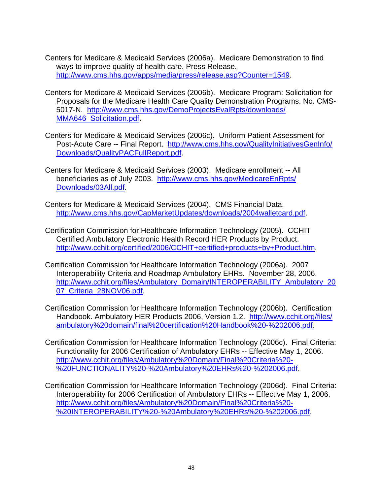- Centers for Medicare & Medicaid Services (2006a). Medicare Demonstration to find ways to improve quality of health care. Press Release. <http://www.cms.hhs.gov/apps/media/press/release.asp?Counter=1549>.
- Centers for Medicare & Medicaid Services (2006b). Medicare Program: Solicitation for Proposals for the Medicare Health Care Quality Demonstration Programs. No. CMS-5017-N. [http://www.cms.hhs.gov/DemoProjectsEvalRpts/downloads/](http://www.cms.hhs.gov/DemoProjectsEvalRpts/downloads/ MMA646_Solicitation.pdf)  [MMA646\\_Solicitation.pdf.](http://www.cms.hhs.gov/DemoProjectsEvalRpts/downloads/ MMA646_Solicitation.pdf)
- Centers for Medicare & Medicaid Services (2006c). Uniform Patient Assessment for Post-Acute Care -- Final Report. http://www.cms.hhs.gov/QualityInitiativesGenInfo/ [Downloads/QualityPACFullReport.pdf](http://www.cms.hhs.gov/QualityInitiativesGenInfo/ Downloads/QualityPACFullReport.pdf).
- Centers for Medicare & Medicaid Services (2003). Medicare enrollment -- All beneficiaries as of July 2003. [http://www.cms.hhs.gov/MedicareEnRpts/](http://www.cms.hhs.gov/MedicareEnRpts/ Downloads/03All.pdf)  [Downloads/03All.pdf](http://www.cms.hhs.gov/MedicareEnRpts/ Downloads/03All.pdf).
- Centers for Medicare & Medicaid Services (2004). CMS Financial Data. <http://www.cms.hhs.gov/CapMarketUpdates/downloads/2004walletcard.pdf>.
- Certification Commission for Healthcare Information Technology (2005). CCHIT Certified Ambulatory Electronic Health Record HER Products by Product. [http://www.cchit.org/certified/2006/CCHIT+certified+products+by+Product.htm.](http://www.cchit.org/certified/2006/CCHIT+certified+products+by+Product.htm)
- Certification Commission for Healthcare Information Technology (2006a). 2007 Interoperability Criteria and Roadmap Ambulatory EHRs. November 28, 2006. [http://www.cchit.org/files/Ambulatory\\_Domain/INTEROPERABILITY\\_Ambulatory\\_20](http://www.cchit.org/files/Ambulatory_Domain/INTEROPERABILITY_Ambulatory_2007_Criteria_28NOV06.pdf) [07\\_Criteria\\_28NOV06.pdf](http://www.cchit.org/files/Ambulatory_Domain/INTEROPERABILITY_Ambulatory_2007_Criteria_28NOV06.pdf).
- Certification Commission for Healthcare Information Technology (2006b). Certification Handbook. Ambulatory HER Products 2006, Version 1.2. [http://www.cchit.org/files/](http://www.cchit.org/files/ ambulatory domain/final certification Handbook - 2006.pdf)  [ambulatory%20domain/final%20certification%20Handbook%20-%202006.pdf](http://www.cchit.org/files/ ambulatory domain/final certification Handbook - 2006.pdf).
- Certification Commission for Healthcare Information Technology (2006c). Final Criteria: Functionality for 2006 Certification of Ambulatory EHRs -- Effective May 1, 2006. [http://www.cchit.org/files/Ambulatory%20Domain/Final%20Criteria%20-](http://www.cchit.org/files/Ambulatory Domain/Final Criteria - FUNCTIONALITY - Ambulatory EHRs - 2006.pdf) [%20FUNCTIONALITY%20-%20Ambulatory%20EHRs%20-%202006.pdf](http://www.cchit.org/files/Ambulatory Domain/Final Criteria - FUNCTIONALITY - Ambulatory EHRs - 2006.pdf).
- Certification Commission for Healthcare Information Technology (2006d). Final Criteria: Interoperability for 2006 Certification of Ambulatory EHRs -- Effective May 1, 2006. [http://www.cchit.org/files/Ambulatory%20Domain/Final%20Criteria%20-](http://www.cchit.org/files/Ambulatory Domain/Final Criteria - INTEROPERABILITY - Ambulatory EHRs - 2006.pdf) [%20INTEROPERABILITY%20-%20Ambulatory%20EHRs%20-%202006.pdf](http://www.cchit.org/files/Ambulatory Domain/Final Criteria - INTEROPERABILITY - Ambulatory EHRs - 2006.pdf).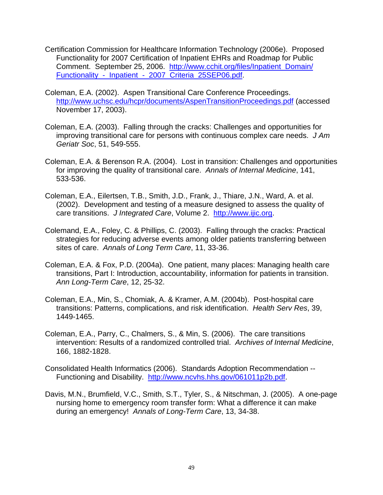- Certification Commission for Healthcare Information Technology (2006e). Proposed Functionality for 2007 Certification of Inpatient EHRs and Roadmap for Public Comment. September 25, 2006. [http://www.cchit.org/files/Inpatient\\_Domain/](http://www.cchit.org/files/Inpatient_Domain/ Functionality_-_Inpatient_-_2007_Criteria_25SEP06.pdf)  [Functionality\\_-\\_Inpatient\\_-\\_2007\\_Criteria\\_25SEP06.pdf](http://www.cchit.org/files/Inpatient_Domain/ Functionality_-_Inpatient_-_2007_Criteria_25SEP06.pdf).
- Coleman, E.A. (2002). Aspen Transitional Care Conference Proceedings. <http://www.uchsc.edu/hcpr/documents/AspenTransitionProceedings.pdf> (accessed November 17, 2003).
- Coleman, E.A. (2003). Falling through the cracks: Challenges and opportunities for improving transitional care for persons with continuous complex care needs. *J Am Geriatr Soc*, 51, 549-555.
- Coleman, E.A. & Berenson R.A. (2004). Lost in transition: Challenges and opportunities for improving the quality of transitional care. *Annals of Internal Medicine*, 141, 533-536.
- Coleman, E.A., Eilertsen, T.B., Smith, J.D., Frank, J., Thiare, J.N., Ward, A. et al. (2002). Development and testing of a measure designed to assess the quality of care transitions. *J Integrated Care*, Volume 2. [http://www.ijic.org.](http://www.ijic.org/)
- Colemand, E.A., Foley, C. & Phillips, C. (2003). Falling through the cracks: Practical strategies for reducing adverse events among older patients transferring between sites of care. *Annals of Long Term Care*, 11, 33-36.
- Coleman, E.A. & Fox, P.D. (2004a). One patient, many places: Managing health care transitions, Part I: Introduction, accountability, information for patients in transition. *Ann Long-Term Care*, 12, 25-32.
- Coleman, E.A., Min, S., Chomiak, A. & Kramer, A.M. (2004b). Post-hospital care transitions: Patterns, complications, and risk identification. *Health Serv Res*, 39, 1449-1465.
- Coleman, E.A., Parry, C., Chalmers, S., & Min, S. (2006). The care transitions intervention: Results of a randomized controlled trial. *Archives of Internal Medicine*, 166, 1882-1828.
- Consolidated Health Informatics (2006). Standards Adoption Recommendation -- Functioning and Disability. <http://www.ncvhs.hhs.gov/061011p2b.pdf>.
- Davis, M.N., Brumfield, V.C., Smith, S.T., Tyler, S., & Nitschman, J. (2005). A one-page nursing home to emergency room transfer form: What a difference it can make during an emergency! *Annals of Long-Term Care*, 13, 34-38.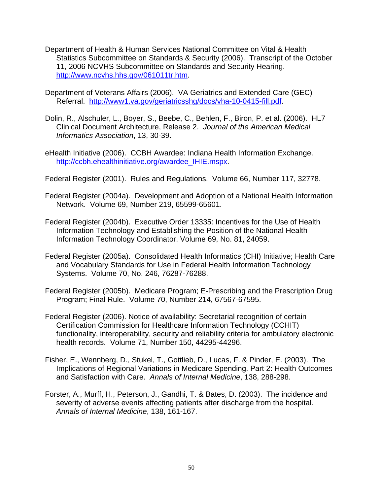- Department of Health & Human Services National Committee on Vital & Health Statistics Subcommittee on Standards & Security (2006). Transcript of the October 11, 2006 NCVHS Subcommittee on Standards and Security Hearing. <http://www.ncvhs.hhs.gov/061011tr.htm>.
- Department of Veterans Affairs (2006). VA Geriatrics and Extended Care (GEC) Referral. <http://www1.va.gov/geriatricsshg/docs/vha-10-0415-fill.pdf>.
- Dolin, R., Alschuler, L., Boyer, S., Beebe, C., Behlen, F., Biron, P. et al. (2006). HL7 Clinical Document Architecture, Release 2. *Journal of the American Medical Informatics Association*, 13, 30-39.
- eHealth Initiative (2006). CCBH Awardee: Indiana Health Information Exchange. [http://ccbh.ehealthinitiative.org/awardee\\_IHIE.mspx](http://ccbh.ehealthinitiative.org/awardee_IHIE.mspx).
- Federal Register (2001). Rules and Regulations. Volume 66, Number 117, 32778.
- Federal Register (2004a). Development and Adoption of a National Health Information Network. Volume 69, Number 219, 65599-65601.
- Federal Register (2004b). Executive Order 13335: Incentives for the Use of Health Information Technology and Establishing the Position of the National Health Information Technology Coordinator. Volume 69, No. 81, 24059.
- Federal Register (2005a). Consolidated Health Informatics (CHI) Initiative; Health Care and Vocabulary Standards for Use in Federal Health Information Technology Systems. Volume 70, No. 246, 76287-76288.
- Federal Register (2005b). Medicare Program; E-Prescribing and the Prescription Drug Program; Final Rule. Volume 70, Number 214, 67567-67595.
- Federal Register (2006). Notice of availability: Secretarial recognition of certain Certification Commission for Healthcare Information Technology (CCHIT) functionality, interoperability, security and reliability criteria for ambulatory electronic health records. Volume 71, Number 150, 44295-44296.
- Fisher, E., Wennberg, D., Stukel, T., Gottlieb, D., Lucas, F. & Pinder, E. (2003). The Implications of Regional Variations in Medicare Spending. Part 2: Health Outcomes and Satisfaction with Care. *Annals of Internal Medicine*, 138, 288-298.
- Forster, A., Murff, H., Peterson, J., Gandhi, T. & Bates, D. (2003). The incidence and severity of adverse events affecting patients after discharge from the hospital. *Annals of Internal Medicine*, 138, 161-167.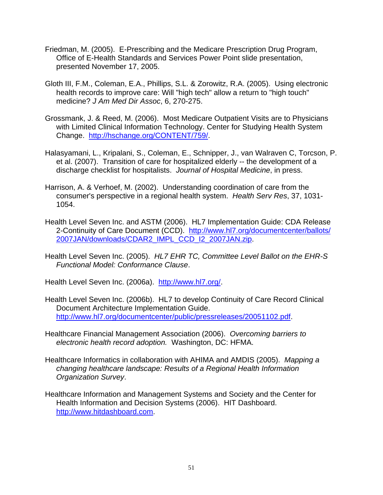- Friedman, M. (2005). E-Prescribing and the Medicare Prescription Drug Program, Office of E-Health Standards and Services Power Point slide presentation, presented November 17, 2005.
- Gloth III, F.M., Coleman, E.A., Phillips, S.L. & Zorowitz, R.A. (2005). Using electronic health records to improve care: Will "high tech" allow a return to "high touch" medicine? *J Am Med Dir Assoc*, 6, 270-275.
- Grossmank, J. & Reed, M. (2006). Most Medicare Outpatient Visits are to Physicians with Limited Clinical Information Technology. Center for Studying Health System Change. [http://hschange.org/CONTENT/759/.](http://hschange.org/CONTENT/759/)
- Halasyamani, L., Kripalani, S., Coleman, E., Schnipper, J., van Walraven C, Torcson, P. et al. (2007). Transition of care for hospitalized elderly -- the development of a discharge checklist for hospitalists. *Journal of Hospital Medicine*, in press.
- Harrison, A. & Verhoef, M. (2002). Understanding coordination of care from the consumer's perspective in a regional health system. *Health Serv Res*, 37, 1031- 1054.
- Health Level Seven Inc. and ASTM (2006). HL7 Implementation Guide: CDA Release 2-Continuity of Care Document (CCD). [http://www.hl7.org/documentcenter/ballots/](http://www.hl7.org/documentcenter/ballots/ 2007JAN/downloads/CDAR2_IMPL_CCD_I2_2007JAN.zip)  [2007JAN/downloads/CDAR2\\_IMPL\\_CCD\\_I2\\_2007JAN.zip.](http://www.hl7.org/documentcenter/ballots/ 2007JAN/downloads/CDAR2_IMPL_CCD_I2_2007JAN.zip)
- Health Level Seven Inc. (2005). *HL7 EHR TC, Committee Level Ballot on the EHR-S Functional Model: Conformance Clause*.

Health Level Seven Inc. (2006a). [http://www.hl7.org/.](http://www.hl7.org/)

- Health Level Seven Inc. (2006b). HL7 to develop Continuity of Care Record Clinical Document Architecture Implementation Guide. [http://www.hl7.org/documentcenter/public/pressreleases/20051102.pdf.](http://www.hl7.org/documentcenter/public/pressreleases/20051102.pdf)
- Healthcare Financial Management Association (2006). *Overcoming barriers to electronic health record adoption.* Washington, DC: HFMA.
- Healthcare Informatics in collaboration with AHIMA and AMDIS (2005). *Mapping a changing healthcare landscape: Results of a Regional Health Information Organization Survey*.
- Healthcare Information and Management Systems and Society and the Center for Health Information and Decision Systems (2006). HIT Dashboard. [http://www.hitdashboard.com.](http://www.hitdashboard.com/)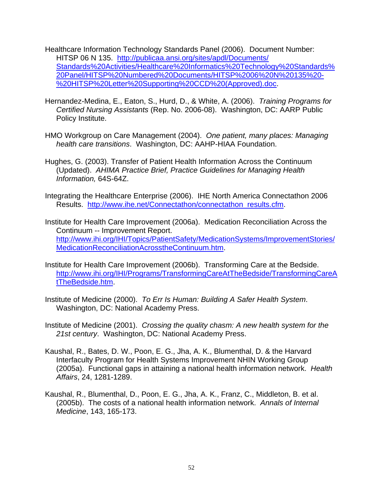- Healthcare Information Technology Standards Panel (2006). Document Number: HITSP 06 N 135. [http://publicaa.ansi.org/sites/apdl/Documents/](http://publicaa.ansi.org/sites/apdl/Documents/ Standards Activities/Healthcare Informatics Technology Standards Panel/HITSP Numbered Documents/HITSP 06 N 135 - HITSP Letter Supporting CCD (Approved).doc)  [Standards%20Activities/Healthcare%20Informatics%20Technology%20Standards%](http://publicaa.ansi.org/sites/apdl/Documents/ Standards Activities/Healthcare Informatics Technology Standards Panel/HITSP Numbered Documents/HITSP 06 N 135 - HITSP Letter Supporting CCD (Approved).doc) [20Panel/HITSP%20Numbered%20Documents/HITSP%2006%20N%20135%20-](http://publicaa.ansi.org/sites/apdl/Documents/ Standards Activities/Healthcare Informatics Technology Standards Panel/HITSP Numbered Documents/HITSP 06 N 135 - HITSP Letter Supporting CCD (Approved).doc) [%20HITSP%20Letter%20Supporting%20CCD%20\(Approved\).doc](http://publicaa.ansi.org/sites/apdl/Documents/ Standards Activities/Healthcare Informatics Technology Standards Panel/HITSP Numbered Documents/HITSP 06 N 135 - HITSP Letter Supporting CCD (Approved).doc).
- Hernandez-Medina, E., Eaton, S., Hurd, D., & White, A. (2006). *Training Programs for Certified Nursing Assistants* (Rep. No. 2006-08). Washington, DC: AARP Public Policy Institute.
- HMO Workgroup on Care Management (2004). *One patient, many places: Managing health care transitions*. Washington, DC: AAHP-HIAA Foundation.
- Hughes, G. (2003). Transfer of Patient Health Information Across the Continuum (Updated). *AHIMA Practice Brief, Practice Guidelines for Managing Health Information,* 64S-64Z.
- Integrating the Healthcare Enterprise (2006). IHE North America Connectathon 2006 Results. [http://www.ihe.net/Connectathon/connectathon\\_results.cfm](http://www.ihe.net/Connectathon/connectathon_results.cfm).
- Institute for Health Care Improvement (2006a). Medication Reconciliation Across the Continuum -- Improvement Report. [http://www.ihi.org/IHI/Topics/PatientSafety/MedicationSystems/ImprovementStories/](http://www.ihi.org/IHI/Topics/PatientSafety/MedicationSystems/ImprovementStories/MedicationReconciliationAcrosstheContinuum.htm) [MedicationReconciliationAcrosstheContinuum.htm](http://www.ihi.org/IHI/Topics/PatientSafety/MedicationSystems/ImprovementStories/MedicationReconciliationAcrosstheContinuum.htm).
- Institute for Health Care Improvement (2006b). Transforming Care at the Bedside. [http://www.ihi.org/IHI/Programs/TransformingCareAtTheBedside/TransformingCareA](http://www.ihi.org/IHI/Programs/TransformingCareAtTheBedside/TransformingCareAtTheBedside.htm) [tTheBedside.htm.](http://www.ihi.org/IHI/Programs/TransformingCareAtTheBedside/TransformingCareAtTheBedside.htm)
- Institute of Medicine (2000). *To Err Is Human: Building A Safer Health System*. Washington, DC: National Academy Press.
- Institute of Medicine (2001). *Crossing the quality chasm: A new health system for the 21st century*. Washington, DC: National Academy Press.
- Kaushal, R., Bates, D. W., Poon, E. G., Jha, A. K., Blumenthal, D. & the Harvard Interfaculty Program for Health Systems Improvement NHIN Working Group (2005a). Functional gaps in attaining a national health information network. *Health Affairs*, 24, 1281-1289.
- Kaushal, R., Blumenthal, D., Poon, E. G., Jha, A. K., Franz, C., Middleton, B. et al. (2005b). The costs of a national health information network. *Annals of Internal Medicine*, 143, 165-173.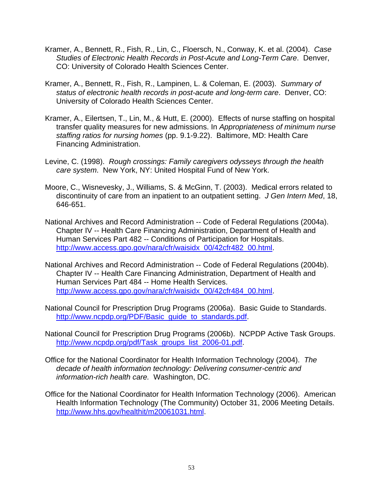- Kramer, A., Bennett, R., Fish, R., Lin, C., Floersch, N., Conway, K. et al. (2004). *Case Studies of Electronic Health Records in Post-Acute and Long-Term Care*. Denver, CO: University of Colorado Health Sciences Center.
- Kramer, A., Bennett, R., Fish, R., Lampinen, L. & Coleman, E. (2003). *Summary of status of electronic health records in post-acute and long-term care*. Denver, CO: University of Colorado Health Sciences Center.
- Kramer, A., Eilertsen, T., Lin, M., & Hutt, E. (2000). Effects of nurse staffing on hospital transfer quality measures for new admissions. In *Appropriateness of minimum nurse staffing ratios for nursing homes* (pp. 9.1-9.22). Baltimore, MD: Health Care Financing Administration.
- Levine, C. (1998). *Rough crossings: Family caregivers odysseys through the health care system*. New York, NY: United Hospital Fund of New York.
- Moore, C., Wisnevesky, J., Williams, S. & McGinn, T. (2003). Medical errors related to discontinuity of care from an inpatient to an outpatient setting. *J Gen Intern Med*, 18, 646-651.
- National Archives and Record Administration -- Code of Federal Regulations (2004a). Chapter IV -- Health Care Financing Administration, Department of Health and Human Services Part 482 -- Conditions of Participation for Hospitals. [http://www.access.gpo.gov/nara/cfr/waisidx\\_00/42cfr482\\_00.html](http://www.access.gpo.gov/nara/cfr/waisidx_00/42cfr482_00.html).
- National Archives and Record Administration -- Code of Federal Regulations (2004b). Chapter IV -- Health Care Financing Administration, Department of Health and Human Services Part 484 -- Home Health Services. [http://www.access.gpo.gov/nara/cfr/waisidx\\_00/42cfr484\\_00.html](http://www.access.gpo.gov/nara/cfr/waisidx_00/42cfr484_00.html).
- National Council for Prescription Drug Programs (2006a). Basic Guide to Standards. [http://www.ncpdp.org/PDF/Basic\\_guide\\_to\\_standards.pdf.](http://www.ncpdp.org/PDF/Basic_guide_to_standards.pdf)
- National Council for Prescription Drug Programs (2006b). NCPDP Active Task Groups. [http://www.ncpdp.org/pdf/Task\\_groups\\_list\\_2006-01.pdf](http://www.ncpdp.org/pdf/Task_groups_list_2006-01.pdf).
- Office for the National Coordinator for Health Information Technology (2004). *The decade of health information technology: Delivering consumer-centric and information-rich health care.* Washington, DC.
- Office for the National Coordinator for Health Information Technology (2006). American Health Information Technology (The Community) October 31, 2006 Meeting Details. <http://www.hhs.gov/healthit/m20061031.html>.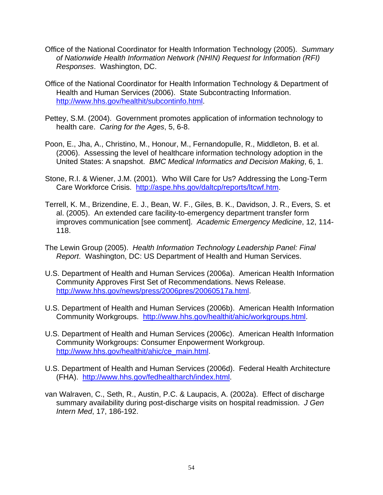- Office of the National Coordinator for Health Information Technology (2005). *Summary of Nationwide Health Information Network (NHIN) Request for Information (RFI) Responses*. Washington, DC.
- Office of the National Coordinator for Health Information Technology & Department of Health and Human Services (2006). State Subcontracting Information. <http://www.hhs.gov/healthit/subcontinfo.html>.
- Pettey, S.M. (2004). Government promotes application of information technology to health care. *Caring for the Ages*, 5, 6-8.
- Poon, E., Jha, A., Christino, M., Honour, M., Fernandopulle, R., Middleton, B. et al. (2006). Assessing the level of healthcare information technology adoption in the United States: A snapshot. *BMC Medical Informatics and Decision Making*, 6, 1.
- Stone, R.I. & Wiener, J.M. (2001). Who Will Care for Us? Addressing the Long-Term Care Workforce Crisis. <http://aspe.hhs.gov/daltcp/reports/ltcwf.htm>.
- Terrell, K. M., Brizendine, E. J., Bean, W. F., Giles, B. K., Davidson, J. R., Evers, S. et al. (2005). An extended care facility-to-emergency department transfer form improves communication [see comment]. *Academic Emergency Medicine*, 12, 114- 118.
- The Lewin Group (2005). *Health Information Technology Leadership Panel: Final Report*. Washington, DC: US Department of Health and Human Services.
- U.S. Department of Health and Human Services (2006a). American Health Information Community Approves First Set of Recommendations. News Release. <http://www.hhs.gov/news/press/2006pres/20060517a.html>.
- U.S. Department of Health and Human Services (2006b). American Health Information Community Workgroups. [http://www.hhs.gov/healthit/ahic/workgroups.html.](http://www.hhs.gov/healthit/ahic/workgroups.html)
- U.S. Department of Health and Human Services (2006c). American Health Information Community Workgroups: Consumer Enpowerment Workgroup. [http://www.hhs.gov/healthit/ahic/ce\\_main.html](http://www.hhs.gov/healthit/ahic/ce_main.html).
- U.S. Department of Health and Human Services (2006d). Federal Health Architecture (FHA). <http://www.hhs.gov/fedhealtharch/index.html>.
- van Walraven, C., Seth, R., Austin, P.C. & Laupacis, A. (2002a). Effect of discharge summary availability during post-discharge visits on hospital readmission. *J Gen Intern Med*, 17, 186-192.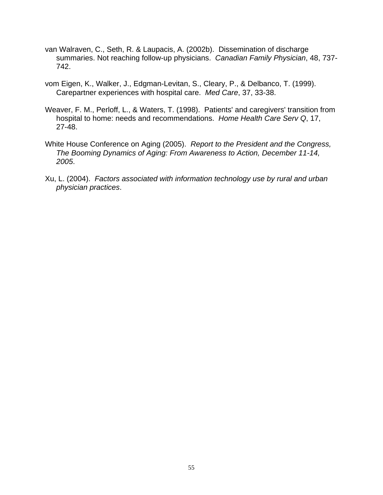- van Walraven, C., Seth, R. & Laupacis, A. (2002b). Dissemination of discharge summaries. Not reaching follow-up physicians. *Canadian Family Physician*, 48, 737- 742.
- vom Eigen, K., Walker, J., Edgman-Levitan, S., Cleary, P., & Delbanco, T. (1999). Carepartner experiences with hospital care. *Med Care*, 37, 33-38.
- Weaver, F. M., Perloff, L., & Waters, T. (1998). Patients' and caregivers' transition from hospital to home: needs and recommendations. *Home Health Care Serv Q*, 17, 27-48.
- White House Conference on Aging (2005). *Report to the President and the Congress, The Booming Dynamics of Aging: From Awareness to Action, December 11-14, 2005*.
- Xu, L. (2004). *Factors associated with information technology use by rural and urban physician practices*.